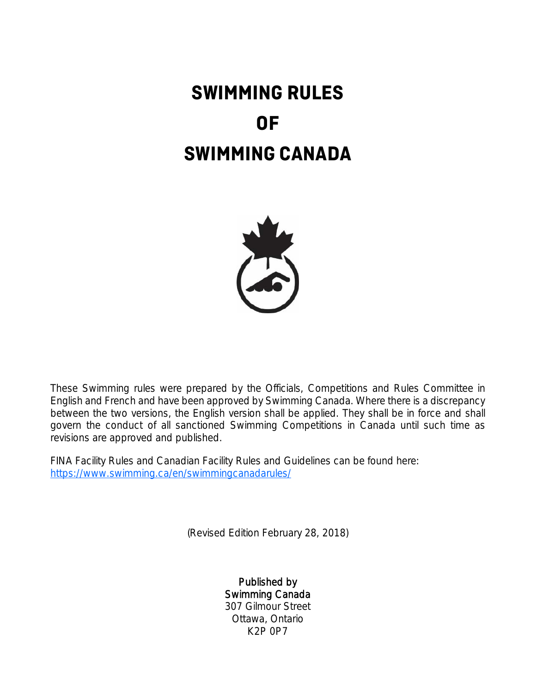# **SWIMMING RULES OF SWIMMING CANADA**



These Swimming rules were prepared by the Officials, Competitions and Rules Committee in English and French and have been approved by Swimming Canada. Where there is a discrepancy between the two versions, the English version shall be applied. They shall be in force and shall govern the conduct of all sanctioned Swimming Competitions in Canada until such time as revisions are approved and published.

FINA Facility Rules and Canadian Facility Rules and Guidelines can be found here: https://www.swimming.ca/en/swimmingcanadarules/

(Revised Edition February 28, 2018)

Published by Swimming Canada 307 Gilmour Street Ottawa, Ontario K2P 0P7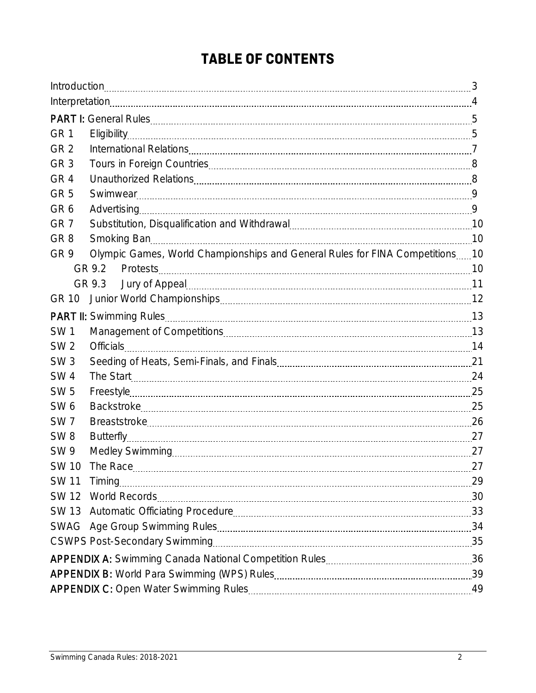## **TABLE OF CONTENTS**

| GR <sub>1</sub> |                                                                              |  |  |  |  |
|-----------------|------------------------------------------------------------------------------|--|--|--|--|
| GR <sub>2</sub> |                                                                              |  |  |  |  |
| GR <sub>3</sub> |                                                                              |  |  |  |  |
| GR <sub>4</sub> |                                                                              |  |  |  |  |
| GR <sub>5</sub> |                                                                              |  |  |  |  |
| GR <sub>6</sub> |                                                                              |  |  |  |  |
| GR <sub>7</sub> |                                                                              |  |  |  |  |
| GR <sub>8</sub> |                                                                              |  |  |  |  |
| GR <sub>9</sub> | Olympic Games, World Championships and General Rules for FINA Competitions10 |  |  |  |  |
|                 | GR 9.3                                                                       |  |  |  |  |
| GR 10           |                                                                              |  |  |  |  |
|                 |                                                                              |  |  |  |  |
| <b>SW1</b>      |                                                                              |  |  |  |  |
| SW <sub>2</sub> |                                                                              |  |  |  |  |
| SW <sub>3</sub> | Officials 2000 14                                                            |  |  |  |  |
| <b>SW4</b>      |                                                                              |  |  |  |  |
| <b>SW 5</b>     |                                                                              |  |  |  |  |
| SW <sub>6</sub> |                                                                              |  |  |  |  |
| SW <sub>7</sub> |                                                                              |  |  |  |  |
| SW <sub>8</sub> |                                                                              |  |  |  |  |
| <b>SW9</b>      |                                                                              |  |  |  |  |
| <b>SW 10</b>    |                                                                              |  |  |  |  |
|                 | SW 11 Timing 29                                                              |  |  |  |  |
|                 |                                                                              |  |  |  |  |
|                 |                                                                              |  |  |  |  |
|                 |                                                                              |  |  |  |  |
|                 |                                                                              |  |  |  |  |
|                 |                                                                              |  |  |  |  |
|                 |                                                                              |  |  |  |  |
|                 |                                                                              |  |  |  |  |
|                 |                                                                              |  |  |  |  |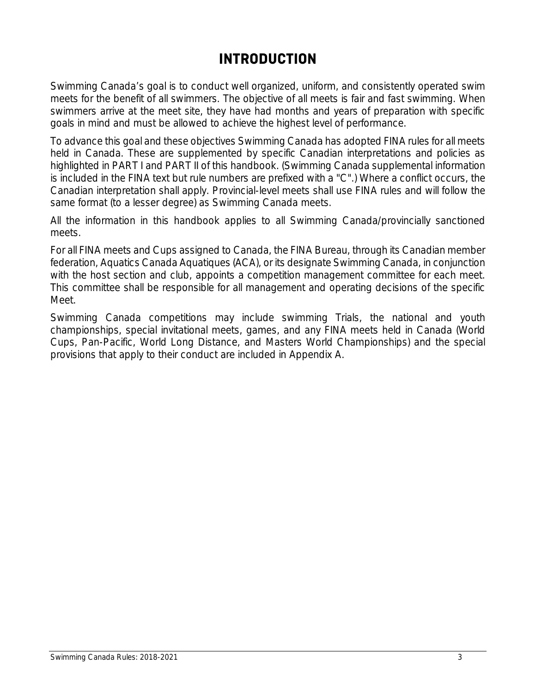## **INTRODUCTION**

Swimming Canada's goal is to conduct well organized, uniform, and consistently operated swim meets for the benefit of all swimmers. The objective of all meets is fair and fast swimming. When swimmers arrive at the meet site, they have had months and years of preparation with specific goals in mind and must be allowed to achieve the highest level of performance.

To advance this goal and these objectives Swimming Canada has adopted FINA rules for all meets held in Canada. These are supplemented by specific Canadian interpretations and policies as highlighted in PART I and PART II of this handbook. (Swimming Canada supplemental information is included in the FINA text but rule numbers are prefixed with a "C".) Where a conflict occurs, the Canadian interpretation shall apply. Provincial-level meets shall use FINA rules and will follow the same format (to a lesser degree) as Swimming Canada meets.

All the information in this handbook applies to all Swimming Canada/provincially sanctioned meets.

For all FINA meets and Cups assigned to Canada, the FINA Bureau, through its Canadian member federation, Aquatics Canada Aquatiques (ACA), or its designate Swimming Canada, in conjunction with the host section and club, appoints a competition management committee for each meet. This committee shall be responsible for all management and operating decisions of the specific Meet.

Swimming Canada competitions may include swimming Trials, the national and youth championships, special invitational meets, games, and any FINA meets held in Canada (World Cups, Pan-Pacific, World Long Distance, and Masters World Championships) and the special provisions that apply to their conduct are included in Appendix A.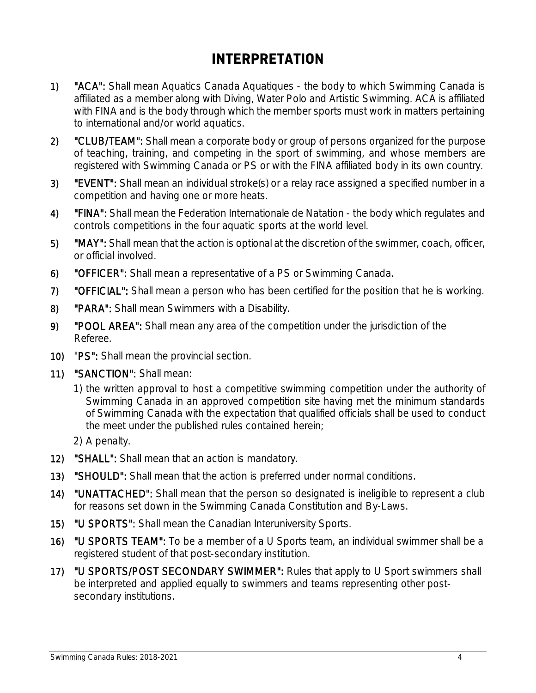## **INTERPRETATION**

- 1) **"ACA":** Shall mean Aquatics Canada Aquatiques the body to which Swimming Canada is affiliated as a member along with Diving, Water Polo and Artistic Swimming. ACA is affiliated with FINA and is the body through which the member sports must work in matters pertaining to international and/or world aquatics.
- 2) "CLUB/TEAM": Shall mean a corporate body or group of persons organized for the purpose of teaching, training, and competing in the sport of swimming, and whose members are registered with Swimming Canada or PS or with the FINA affiliated body in its own country.
- 3) "EVENT": Shall mean an individual stroke(s) or a relay race assigned a specified number in a competition and having one or more heats.
- 4) **"FINA":** Shall mean the Federation Internationale de Natation the body which regulates and controls competitions in the four aquatic sports at the world level.
- 5) "MAY": Shall mean that the action is optional at the discretion of the swimmer, coach, officer, or official involved.
- 6) "OFFICER": Shall mean a representative of a PS or Swimming Canada.
- 7) "OFFICIAL": Shall mean a person who has been certified for the position that he is working.
- 8) "PARA": Shall mean Swimmers with a Disability.
- 9) "POOL AREA": Shall mean any area of the competition under the jurisdiction of the Referee.
- 10) "PS": Shall mean the provincial section.
- 11) "SANCTION": Shall mean:
	- 1) the written approval to host a competitive swimming competition under the authority of Swimming Canada in an approved competition site having met the minimum standards of Swimming Canada with the expectation that qualified officials shall be used to conduct the meet under the published rules contained herein;
	- 2) A penalty.
- 12) "SHALL": Shall mean that an action is mandatory.
- 13) "SHOULD": Shall mean that the action is preferred under normal conditions.
- 14) "UNATTACHED": Shall mean that the person so designated is ineligible to represent a club for reasons set down in the Swimming Canada Constitution and By-Laws.
- 15) "U SPORTS": Shall mean the Canadian Interuniversity Sports.
- 16) "U SPORTS TEAM": To be a member of a U Sports team, an individual swimmer shall be a registered student of that post-secondary institution.
- 17) "U SPORTS/POST SECONDARY SWIMMER": Rules that apply to U Sport swimmers shall be interpreted and applied equally to swimmers and teams representing other postsecondary institutions.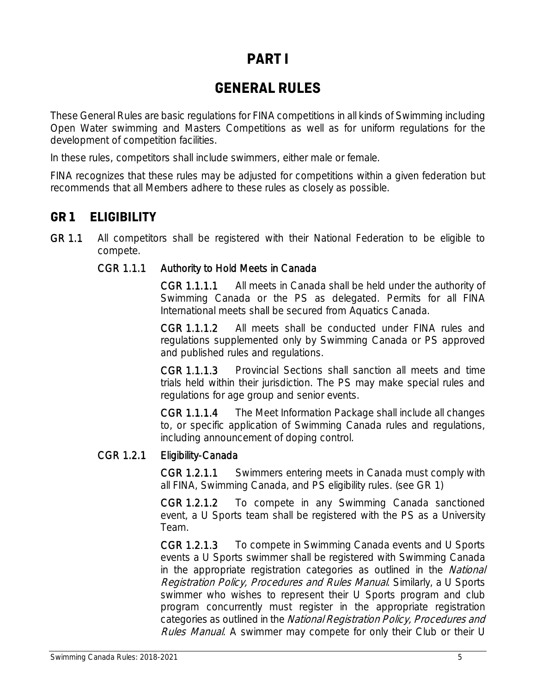## **PART I**

## **GENERAL RULES**

These General Rules are basic regulations for FINA competitions in all kinds of Swimming including Open Water swimming and Masters Competitions as well as for uniform regulations for the development of competition facilities.

In these rules, competitors shall include swimmers, either male or female.

FINA recognizes that these rules may be adjusted for competitions within a given federation but recommends that all Members adhere to these rules as closely as possible.

### **GR 1 ELIGIBILITY**

GR 1.1 All competitors shall be registered with their National Federation to be eligible to compete.

#### CGR 1.1.1 Authority to Hold Meets in Canada

CGR 1.1.1.1 All meets in Canada shall be held under the authority of Swimming Canada or the PS as delegated. Permits for all FINA International meets shall be secured from Aquatics Canada.

CGR 1.1.1.2 All meets shall be conducted under FINA rules and regulations supplemented only by Swimming Canada or PS approved and published rules and regulations.

CGR 1.1.1.3 Provincial Sections shall sanction all meets and time trials held within their jurisdiction. The PS may make special rules and regulations for age group and senior events.

CGR 1.1.1.4 The Meet Information Package shall include all changes to, or specific application of Swimming Canada rules and regulations, including announcement of doping control.

#### CGR 1.2.1 Eligibility-Canada

CGR 1.2.1.1 Swimmers entering meets in Canada must comply with all FINA, Swimming Canada, and PS eligibility rules. (see GR 1)

CGR 1.2.1.2 To compete in any Swimming Canada sanctioned event, a U Sports team shall be registered with the PS as a University Team.

CGR 1.2.1.3 To compete in Swimming Canada events and U Sports events a U Sports swimmer shall be registered with Swimming Canada in the appropriate registration categories as outlined in the National Registration Policy, Procedures and Rules Manual. Similarly, a U Sports swimmer who wishes to represent their U Sports program and club program concurrently must register in the appropriate registration categories as outlined in the National Registration Policy, Procedures and Rules Manual. A swimmer may compete for only their Club or their U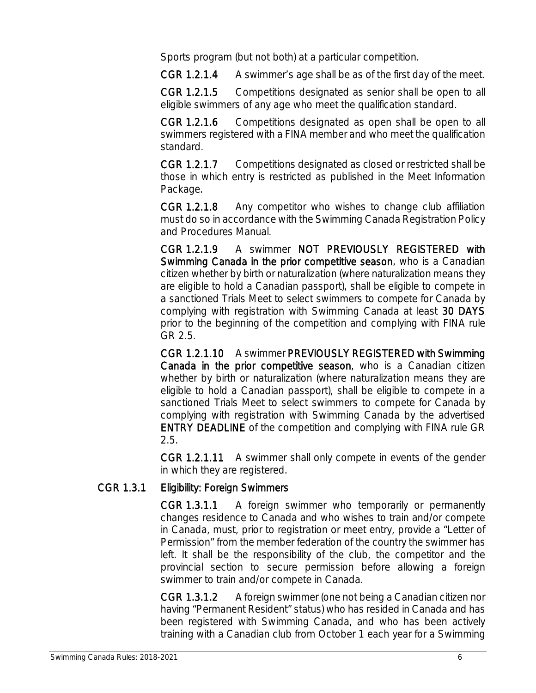Sports program (but not both) at a particular competition.

CGR 1.2.1.4 A swimmer's age shall be as of the first day of the meet.

CGR 1.2.1.5 Competitions designated as senior shall be open to all eligible swimmers of any age who meet the qualification standard.

CGR 1.2.1.6 Competitions designated as open shall be open to all swimmers registered with a FINA member and who meet the qualification standard.

CGR 1.2.1.7 Competitions designated as closed or restricted shall be those in which entry is restricted as published in the Meet Information Package.

CGR 1.2.1.8 Any competitor who wishes to change club affiliation must do so in accordance with the Swimming Canada Registration Policy and Procedures Manual.

CGR 1.2.1.9 A swimmer NOT PREVIOUSLY REGISTERED with Swimming Canada in the prior competitive season, who is a Canadian citizen whether by birth or naturalization (where naturalization means they are eligible to hold a Canadian passport), shall be eligible to compete in a sanctioned Trials Meet to select swimmers to compete for Canada by complying with registration with Swimming Canada at least 30 DAYS prior to the beginning of the competition and complying with FINA rule GR 2.5.

CGR 1.2.1.10 A swimmer PREVIOUSLY REGISTERED with Swimming Canada in the prior competitive season, who is a Canadian citizen whether by birth or naturalization (where naturalization means they are eligible to hold a Canadian passport), shall be eligible to compete in a sanctioned Trials Meet to select swimmers to compete for Canada by complying with registration with Swimming Canada by the advertised ENTRY DEADLINE of the competition and complying with FINA rule GR 2.5.

CGR 1.2.1.11 A swimmer shall only compete in events of the gender in which they are registered.

### CGR 1.3.1 Eligibility: Foreign Swimmers

CGR 1.3.1.1 A foreign swimmer who temporarily or permanently changes residence to Canada and who wishes to train and/or compete in Canada, must, prior to registration or meet entry, provide a "Letter of Permission" from the member federation of the country the swimmer has left. It shall be the responsibility of the club, the competitor and the provincial section to secure permission before allowing a foreign swimmer to train and/or compete in Canada.

CGR 1.3.1.2 A foreign swimmer (one not being a Canadian citizen nor having "Permanent Resident" status) who has resided in Canada and has been registered with Swimming Canada, and who has been actively training with a Canadian club from October 1 each year for a Swimming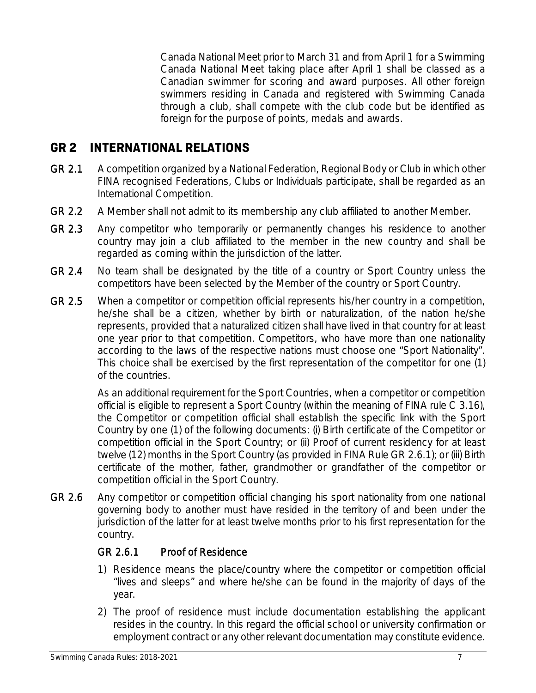Canada National Meet prior to March 31 and from April 1 for a Swimming Canada National Meet taking place after April 1 shall be classed as a Canadian swimmer for scoring and award purposes. All other foreign swimmers residing in Canada and registered with Swimming Canada through a club, shall compete with the club code but be identified as foreign for the purpose of points, medals and awards.

### **GR 2 INTERNATIONAL RELATIONS**

- GR 2.1 A competition organized by a National Federation, Regional Body or Club in which other FINA recognised Federations, Clubs or Individuals participate, shall be regarded as an International Competition.
- GR 2.2 A Member shall not admit to its membership any club affiliated to another Member.
- GR 2.3 Any competitor who temporarily or permanently changes his residence to another country may join a club affiliated to the member in the new country and shall be regarded as coming within the jurisdiction of the latter.
- GR 2.4 No team shall be designated by the title of a country or Sport Country unless the competitors have been selected by the Member of the country or Sport Country.
- GR 2.5 When a competitor or competition official represents his/her country in a competition, he/she shall be a citizen, whether by birth or naturalization, of the nation he/she represents, provided that a naturalized citizen shall have lived in that country for at least one year prior to that competition. Competitors, who have more than one nationality according to the laws of the respective nations must choose one "Sport Nationality". This choice shall be exercised by the first representation of the competitor for one (1) of the countries.

As an additional requirement for the Sport Countries, when a competitor or competition official is eligible to represent a Sport Country (within the meaning of FINA rule C 3.16), the Competitor or competition official shall establish the specific link with the Sport Country by one (1) of the following documents: (i) Birth certificate of the Competitor or competition official in the Sport Country; or (ii) Proof of current residency for at least twelve (12) months in the Sport Country (as provided in FINA Rule GR 2.6.1); or (iii) Birth certificate of the mother, father, grandmother or grandfather of the competitor or competition official in the Sport Country.

GR 2.6 Any competitor or competition official changing his sport nationality from one national governing body to another must have resided in the territory of and been under the jurisdiction of the latter for at least twelve months prior to his first representation for the country.

#### GR 2.6.1 Proof of Residence

- 1) Residence means the place/country where the competitor or competition official "lives and sleeps" and where he/she can be found in the majority of days of the year.
- 2) The proof of residence must include documentation establishing the applicant resides in the country. In this regard the official school or university confirmation or employment contract or any other relevant documentation may constitute evidence.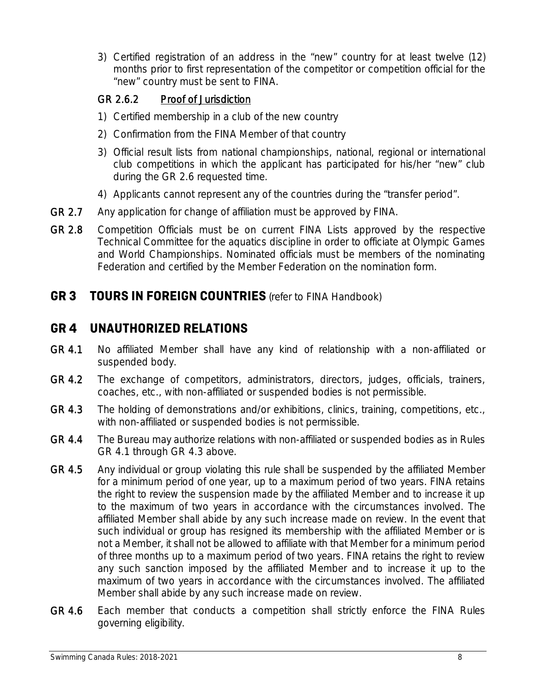3) Certified registration of an address in the "new" country for at least twelve (12) months prior to first representation of the competitor or competition official for the "new" country must be sent to FINA.

### GR 2.6.2 Proof of Jurisdiction

- 1) Certified membership in a club of the new country
- 2) Confirmation from the FINA Member of that country
- 3) Official result lists from national championships, national, regional or international club competitions in which the applicant has participated for his/her "new" club during the GR 2.6 requested time.
- 4) Applicants cannot represent any of the countries during the "transfer period".
- GR 2.7 Any application for change of affiliation must be approved by FINA.
- GR 2.8 Competition Officials must be on current FINA Lists approved by the respective Technical Committee for the aquatics discipline in order to officiate at Olympic Games and World Championships. Nominated officials must be members of the nominating Federation and certified by the Member Federation on the nomination form.

### **GR 3 TOURS IN FOREIGN COUNTRIES** (refer to FINA Handbook)

### **GR 4 UNAUTHORIZED RELATIONS**

- GR 4.1 No affiliated Member shall have any kind of relationship with a non-affiliated or suspended body.
- GR 4.2 The exchange of competitors, administrators, directors, judges, officials, trainers, coaches, etc., with non-affiliated or suspended bodies is not permissible.
- GR 4.3 The holding of demonstrations and/or exhibitions, clinics, training, competitions, etc., with non-affiliated or suspended bodies is not permissible.
- GR 4.4 The Bureau may authorize relations with non-affiliated or suspended bodies as in Rules GR 4.1 through GR 4.3 above.
- GR 4.5 Any individual or group violating this rule shall be suspended by the affiliated Member for a minimum period of one year, up to a maximum period of two years. FINA retains the right to review the suspension made by the affiliated Member and to increase it up to the maximum of two years in accordance with the circumstances involved. The affiliated Member shall abide by any such increase made on review. In the event that such individual or group has resigned its membership with the affiliated Member or is not a Member, it shall not be allowed to affiliate with that Member for a minimum period of three months up to a maximum period of two years. FINA retains the right to review any such sanction imposed by the affiliated Member and to increase it up to the maximum of two years in accordance with the circumstances involved. The affiliated Member shall abide by any such increase made on review.
- GR 4.6 Each member that conducts a competition shall strictly enforce the FINA Rules governing eligibility.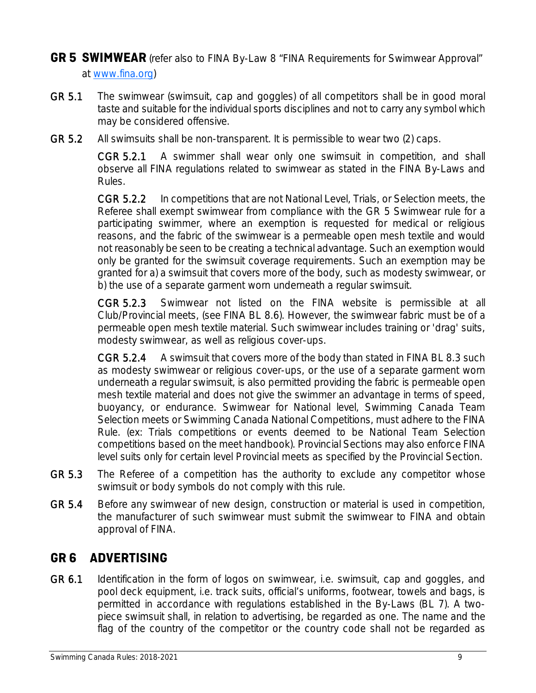### **GR 5 SWIMWEAR** (refer also to FINA By-Law 8 "FINA Requirements for Swimwear Approval" at www.fina.org)

- GR 5.1 The swimwear (swimsuit, cap and goggles) of all competitors shall be in good moral taste and suitable for the individual sports disciplines and not to carry any symbol which may be considered offensive.
- GR 5.2 All swimsuits shall be non-transparent. It is permissible to wear two (2) caps.

CGR 5.2.1 A swimmer shall wear only one swimsuit in competition, and shall observe all FINA regulations related to swimwear as stated in the FINA By-Laws and Rules.

CGR 5.2.2 In competitions that are not National Level, Trials, or Selection meets, the Referee shall exempt swimwear from compliance with the GR 5 Swimwear rule for a participating swimmer, where an exemption is requested for medical or religious reasons, and the fabric of the swimwear is a permeable open mesh textile and would not reasonably be seen to be creating a technical advantage. Such an exemption would only be granted for the swimsuit coverage requirements. Such an exemption may be granted for a) a swimsuit that covers more of the body, such as modesty swimwear, or b) the use of a separate garment worn underneath a regular swimsuit.

CGR 5.2.3 Swimwear not listed on the FINA website is permissible at all Club/Provincial meets, (see FINA BL 8.6). However, the swimwear fabric must be of a permeable open mesh textile material. Such swimwear includes training or 'drag' suits, modesty swimwear, as well as religious cover-ups.

CGR 5.2.4 A swimsuit that covers more of the body than stated in FINA BL 8.3 such as modesty swimwear or religious cover-ups, or the use of a separate garment worn underneath a regular swimsuit, is also permitted providing the fabric is permeable open mesh textile material and does not give the swimmer an advantage in terms of speed, buoyancy, or endurance. Swimwear for National level, Swimming Canada Team Selection meets or Swimming Canada National Competitions, must adhere to the FINA Rule. (ex: Trials competitions or events deemed to be National Team Selection competitions based on the meet handbook). Provincial Sections may also enforce FINA level suits only for certain level Provincial meets as specified by the Provincial Section.

- GR 5.3 The Referee of a competition has the authority to exclude any competitor whose swimsuit or body symbols do not comply with this rule.
- GR 5.4 Before any swimwear of new design, construction or material is used in competition, the manufacturer of such swimwear must submit the swimwear to FINA and obtain approval of FINA.

### **GR 6 ADVERTISING**

GR 6.1 Identification in the form of logos on swimwear, i.e. swimsuit, cap and goggles, and pool deck equipment, i.e. track suits, official's uniforms, footwear, towels and bags, is permitted in accordance with regulations established in the By-Laws (BL 7). A twopiece swimsuit shall, in relation to advertising, be regarded as one. The name and the flag of the country of the competitor or the country code shall not be regarded as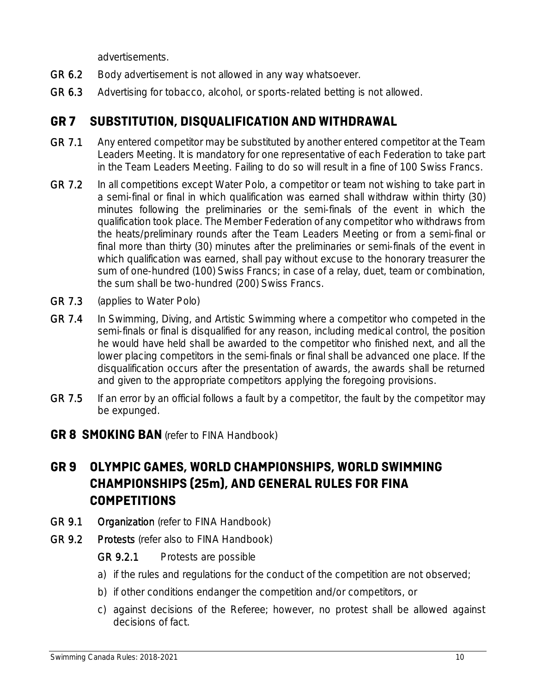advertisements.

- GR 6.2 Body advertisement is not allowed in any way whatsoever.
- GR 6.3 Advertising for tobacco, alcohol, or sports-related betting is not allowed.

### **GR 7 SUBSTITUTION, DISQUALIFICATION AND WITHDRAWAL**

- GR 7.1 Any entered competitor may be substituted by another entered competitor at the Team Leaders Meeting. It is mandatory for one representative of each Federation to take part in the Team Leaders Meeting. Failing to do so will result in a fine of 100 Swiss Francs.
- GR 7.2 In all competitions except Water Polo, a competitor or team not wishing to take part in a semi-final or final in which qualification was earned shall withdraw within thirty (30) minutes following the preliminaries or the semi-finals of the event in which the qualification took place. The Member Federation of any competitor who withdraws from the heats/preliminary rounds after the Team Leaders Meeting or from a semi-final or final more than thirty (30) minutes after the preliminaries or semi-finals of the event in which qualification was earned, shall pay without excuse to the honorary treasurer the sum of one-hundred (100) Swiss Francs; in case of a relay, duet, team or combination, the sum shall be two-hundred (200) Swiss Francs.
- GR 7.3 (applies to Water Polo)
- GR 7.4 In Swimming, Diving, and Artistic Swimming where a competitor who competed in the semi-finals or final is disqualified for any reason, including medical control, the position he would have held shall be awarded to the competitor who finished next, and all the lower placing competitors in the semi-finals or final shall be advanced one place. If the disqualification occurs after the presentation of awards, the awards shall be returned and given to the appropriate competitors applying the foregoing provisions.
- GR 7.5 If an error by an official follows a fault by a competitor, the fault by the competitor may be expunged.
- **GR 8 SMOKING BAN** (refer to FINA Handbook)

### **GR 9 OLYMPIC GAMES, WORLD CHAMPIONSHIPS, WORLD SWIMMING CHAMPIONSHIPS (25m), AND GENERAL RULES FOR FINA COMPETITIONS**

- GR 9.1 Organization (refer to FINA Handbook)
- GR 9.2 Protests (refer also to FINA Handbook)

### GR 9.2.1 Protests are possible

- a) if the rules and regulations for the conduct of the competition are not observed;
- b) if other conditions endanger the competition and/or competitors, or
- c) against decisions of the Referee; however, no protest shall be allowed against decisions of fact.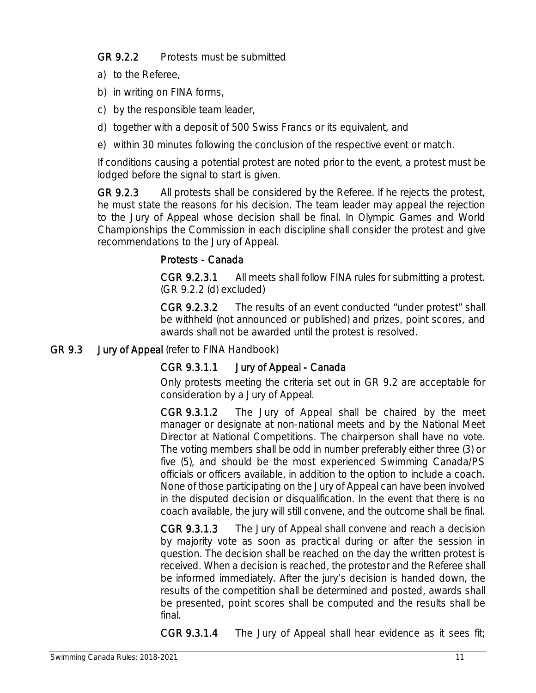### GR 9.2.2 Protests must be submitted

- a) to the Referee,
- b) in writing on FINA forms,
- c) by the responsible team leader,
- d) together with a deposit of 500 Swiss Francs or its equivalent, and
- e) within 30 minutes following the conclusion of the respective event or match.

If conditions causing a potential protest are noted prior to the event, a protest must be lodged before the signal to start is given.

GR 9.2.3 All protests shall be considered by the Referee. If he rejects the protest, he must state the reasons for his decision. The team leader may appeal the rejection to the Jury of Appeal whose decision shall be final. In Olympic Games and World Championships the Commission in each discipline shall consider the protest and give recommendations to the Jury of Appeal.

### Protests - Canada

CGR 9.2.3.1 All meets shall follow FINA rules for submitting a protest. (GR 9.2.2 (d) excluded)

CGR 9.2.3.2 The results of an event conducted "under protest" shall be withheld (not announced or published) and prizes, point scores, and awards shall not be awarded until the protest is resolved.

#### GR 9.3 Jury of Appeal (refer to FINA Handbook)

### CGR 9.3.1.1 Jury of Appeal - Canada

Only protests meeting the criteria set out in GR 9.2 are acceptable for consideration by a Jury of Appeal.

CGR 9.3.1.2 The Jury of Appeal shall be chaired by the meet manager or designate at non-national meets and by the National Meet Director at National Competitions. The chairperson shall have no vote. The voting members shall be odd in number preferably either three (3) or five (5), and should be the most experienced Swimming Canada/PS officials or officers available, in addition to the option to include a coach. None of those participating on the Jury of Appeal can have been involved in the disputed decision or disqualification. In the event that there is no coach available, the jury will still convene, and the outcome shall be final.

CGR 9.3.1.3 The Jury of Appeal shall convene and reach a decision by majority vote as soon as practical during or after the session in question. The decision shall be reached on the day the written protest is received. When a decision is reached, the protestor and the Referee shall be informed immediately. After the jury's decision is handed down, the results of the competition shall be determined and posted, awards shall be presented, point scores shall be computed and the results shall be final.

CGR 9.3.1.4 The Jury of Appeal shall hear evidence as it sees fit;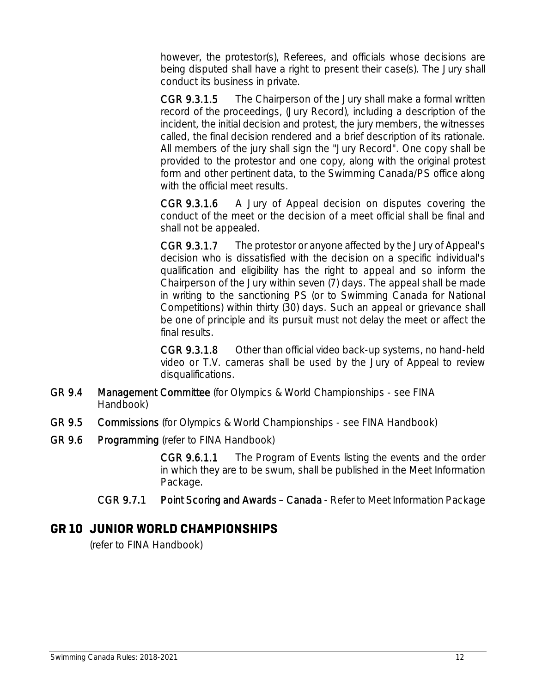however, the protestor(s), Referees, and officials whose decisions are being disputed shall have a right to present their case(s). The Jury shall conduct its business in private.

CGR 9.3.1.5 The Chairperson of the Jury shall make a formal written record of the proceedings, (Jury Record), including a description of the incident, the initial decision and protest, the jury members, the witnesses called, the final decision rendered and a brief description of its rationale. All members of the jury shall sign the "Jury Record". One copy shall be provided to the protestor and one copy, along with the original protest form and other pertinent data, to the Swimming Canada/PS office along with the official meet results.

CGR 9.3.1.6 A Jury of Appeal decision on disputes covering the conduct of the meet or the decision of a meet official shall be final and shall not be appealed.

CGR 9.3.1.7 The protestor or anyone affected by the Jury of Appeal's decision who is dissatisfied with the decision on a specific individual's qualification and eligibility has the right to appeal and so inform the Chairperson of the Jury within seven (7) days. The appeal shall be made in writing to the sanctioning PS (or to Swimming Canada for National Competitions) within thirty (30) days. Such an appeal or grievance shall be one of principle and its pursuit must not delay the meet or affect the final results.

CGR 9.3.1.8 Other than official video back-up systems, no hand-held video or T.V. cameras shall be used by the Jury of Appeal to review disqualifications.

- GR 9.4 Management Committee (for Olympics & World Championships see FINA Handbook)
- GR 9.5 Commissions (for Olympics & World Championships see FINA Handbook)
- GR 9.6 Programming (refer to FINA Handbook)

CGR 9.6.1.1 The Program of Events listing the events and the order in which they are to be swum, shall be published in the Meet Information Package.

CGR 9.7.1 Point Scoring and Awards – Canada - Refer to Meet Information Package

### **GR 10 JUNIOR WORLD CHAMPIONSHIPS**

(refer to FINA Handbook)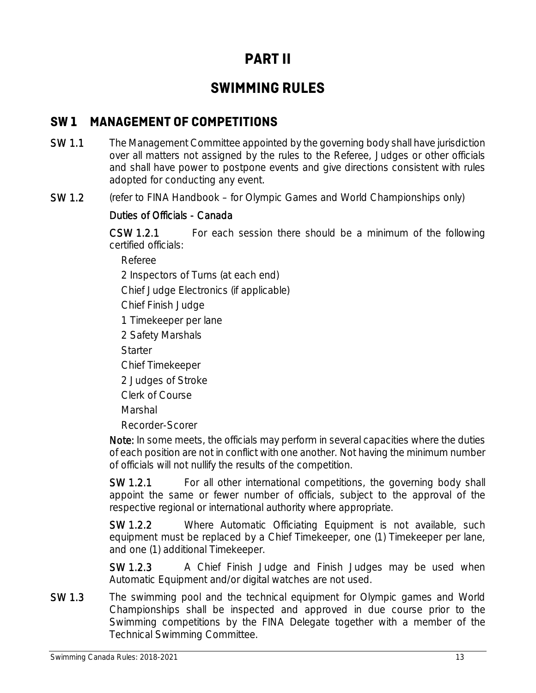## **PART II**

### **SWIMMING RULES**

### **SW 1 MANAGEMENT OF COMPETITIONS**

- SW 1.1 The Management Committee appointed by the governing body shall have jurisdiction over all matters not assigned by the rules to the Referee, Judges or other officials and shall have power to postpone events and give directions consistent with rules adopted for conducting any event.
- SW 1.2 (refer to FINA Handbook for Olympic Games and World Championships only)

### Duties of Officials - Canada

CSW 1.2.1 For each session there should be a minimum of the following certified officials:

Referee

2 Inspectors of Turns (at each end)

Chief Judge Electronics (if applicable)

Chief Finish Judge

1 Timekeeper per lane

2 Safety Marshals

**Starter** 

Chief Timekeeper

2 Judges of Stroke

Clerk of Course

Marshal

Recorder-Scorer

Note: In some meets, the officials may perform in several capacities where the duties of each position are not in conflict with one another. Not having the minimum number of officials will not nullify the results of the competition.

SW 1.2.1 For all other international competitions, the governing body shall appoint the same or fewer number of officials, subject to the approval of the respective regional or international authority where appropriate.

SW 1.2.2 Where Automatic Officiating Equipment is not available, such equipment must be replaced by a Chief Timekeeper, one (1) Timekeeper per lane, and one (1) additional Timekeeper.

SW 1.2.3 A Chief Finish Judge and Finish Judges may be used when Automatic Equipment and/or digital watches are not used.

SW 1.3 The swimming pool and the technical equipment for Olympic games and World Championships shall be inspected and approved in due course prior to the Swimming competitions by the FINA Delegate together with a member of the Technical Swimming Committee.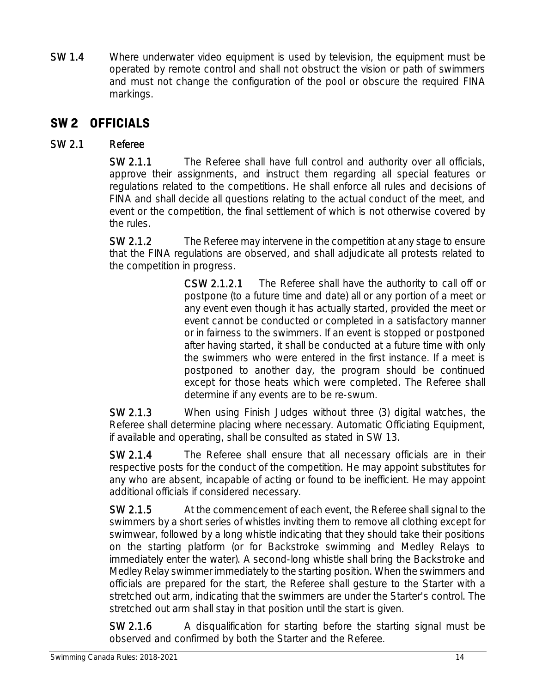SW 1.4 Where underwater video equipment is used by television, the equipment must be operated by remote control and shall not obstruct the vision or path of swimmers and must not change the configuration of the pool or obscure the required FINA markings.

### **SW 2 OFFICIALS**

### SW 2.1 Referee

SW 2.1.1 The Referee shall have full control and authority over all officials, approve their assignments, and instruct them regarding all special features or regulations related to the competitions. He shall enforce all rules and decisions of FINA and shall decide all questions relating to the actual conduct of the meet, and event or the competition, the final settlement of which is not otherwise covered by the rules.

SW 2.1.2 The Referee may intervene in the competition at any stage to ensure that the FINA regulations are observed, and shall adjudicate all protests related to the competition in progress.

> CSW 2.1.2.1 The Referee shall have the authority to call off or postpone (to a future time and date) all or any portion of a meet or any event even though it has actually started, provided the meet or event cannot be conducted or completed in a satisfactory manner or in fairness to the swimmers. If an event is stopped or postponed after having started, it shall be conducted at a future time with only the swimmers who were entered in the first instance. If a meet is postponed to another day, the program should be continued except for those heats which were completed. The Referee shall determine if any events are to be re-swum.

SW 2.1.3 When using Finish Judges without three (3) digital watches, the Referee shall determine placing where necessary. Automatic Officiating Equipment, if available and operating, shall be consulted as stated in SW 13.

SW 2.1.4 The Referee shall ensure that all necessary officials are in their respective posts for the conduct of the competition. He may appoint substitutes for any who are absent, incapable of acting or found to be inefficient. He may appoint additional officials if considered necessary.

SW 2.1.5 At the commencement of each event, the Referee shall signal to the swimmers by a short series of whistles inviting them to remove all clothing except for swimwear, followed by a long whistle indicating that they should take their positions on the starting platform (or for Backstroke swimming and Medley Relays to immediately enter the water). A second-long whistle shall bring the Backstroke and Medley Relay swimmer immediately to the starting position. When the swimmers and officials are prepared for the start, the Referee shall gesture to the Starter with a stretched out arm, indicating that the swimmers are under the Starter's control. The stretched out arm shall stay in that position until the start is given.

SW 2.1.6 A disqualification for starting before the starting signal must be observed and confirmed by both the Starter and the Referee.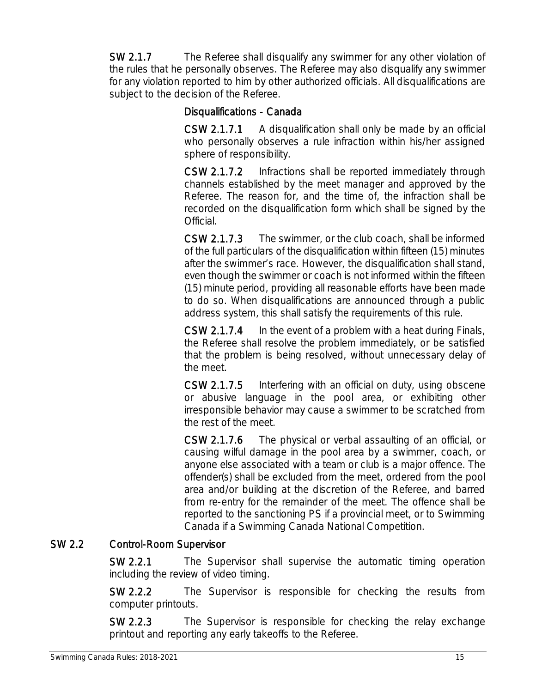SW 2.1.7 The Referee shall disqualify any swimmer for any other violation of the rules that he personally observes. The Referee may also disqualify any swimmer for any violation reported to him by other authorized officials. All disqualifications are subject to the decision of the Referee.

#### Disqualifications - Canada

CSW 2.1.7.1 A disqualification shall only be made by an official who personally observes a rule infraction within his/her assigned sphere of responsibility.

CSW 2.1.7.2 Infractions shall be reported immediately through channels established by the meet manager and approved by the Referee. The reason for, and the time of, the infraction shall be recorded on the disqualification form which shall be signed by the Official.

CSW 2.1.7.3 The swimmer, or the club coach, shall be informed of the full particulars of the disqualification within fifteen (15) minutes after the swimmer's race. However, the disqualification shall stand, even though the swimmer or coach is not informed within the fifteen (15) minute period, providing all reasonable efforts have been made to do so. When disqualifications are announced through a public address system, this shall satisfy the requirements of this rule.

CSW 2.1.7.4 In the event of a problem with a heat during Finals, the Referee shall resolve the problem immediately, or be satisfied that the problem is being resolved, without unnecessary delay of the meet.

CSW 2.1.7.5 Interfering with an official on duty, using obscene or abusive language in the pool area, or exhibiting other irresponsible behavior may cause a swimmer to be scratched from the rest of the meet.

CSW 2.1.7.6 The physical or verbal assaulting of an official, or causing wilful damage in the pool area by a swimmer, coach, or anyone else associated with a team or club is a major offence. The offender(s) shall be excluded from the meet, ordered from the pool area and/or building at the discretion of the Referee, and barred from re-entry for the remainder of the meet. The offence shall be reported to the sanctioning PS if a provincial meet, or to Swimming Canada if a Swimming Canada National Competition.

### SW 2.2 Control-Room Supervisor

SW 2.2.1 The Supervisor shall supervise the automatic timing operation including the review of video timing.

SW 2.2.2 The Supervisor is responsible for checking the results from computer printouts.

SW 2.2.3 The Supervisor is responsible for checking the relay exchange printout and reporting any early takeoffs to the Referee.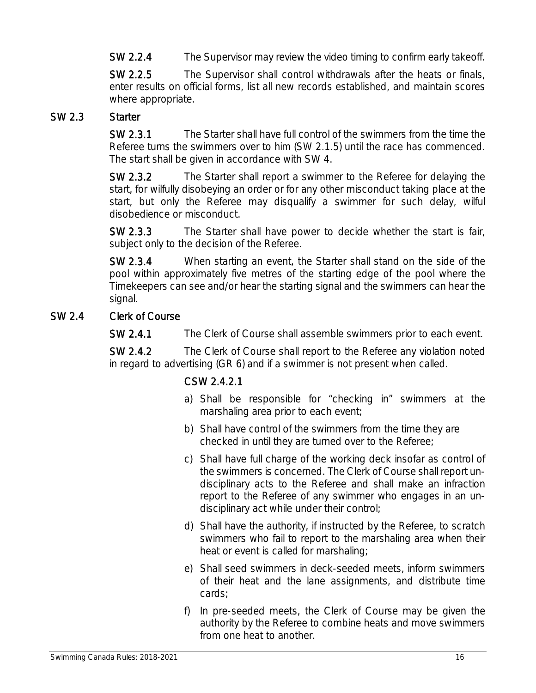SW 2.2.4 The Supervisor may review the video timing to confirm early takeoff.

SW 2.2.5 The Supervisor shall control withdrawals after the heats or finals, enter results on official forms, list all new records established, and maintain scores where appropriate.

#### SW 2.3 Starter

SW 2.3.1 The Starter shall have full control of the swimmers from the time the Referee turns the swimmers over to him (SW 2.1.5) until the race has commenced. The start shall be given in accordance with SW 4.

SW 2.3.2 The Starter shall report a swimmer to the Referee for delaying the start, for wilfully disobeying an order or for any other misconduct taking place at the start, but only the Referee may disqualify a swimmer for such delay, wilful disobedience or misconduct.

SW 2.3.3 The Starter shall have power to decide whether the start is fair, subject only to the decision of the Referee.

SW 2.3.4 When starting an event, the Starter shall stand on the side of the pool within approximately five metres of the starting edge of the pool where the Timekeepers can see and/or hear the starting signal and the swimmers can hear the signal.

### SW 2.4 Clerk of Course

SW 2.4.1 The Clerk of Course shall assemble swimmers prior to each event.

SW 2.4.2 The Clerk of Course shall report to the Referee any violation noted in regard to advertising (GR 6) and if a swimmer is not present when called.

### CSW 2.4.2.1

- a) Shall be responsible for "checking in" swimmers at the marshaling area prior to each event;
- b) Shall have control of the swimmers from the time they are checked in until they are turned over to the Referee;
- c) Shall have full charge of the working deck insofar as control of the swimmers is concerned. The Clerk of Course shall report undisciplinary acts to the Referee and shall make an infraction report to the Referee of any swimmer who engages in an undisciplinary act while under their control;
- d) Shall have the authority, if instructed by the Referee, to scratch swimmers who fail to report to the marshaling area when their heat or event is called for marshaling;
- e) Shall seed swimmers in deck-seeded meets, inform swimmers of their heat and the lane assignments, and distribute time cards;
- f) In pre-seeded meets, the Clerk of Course may be given the authority by the Referee to combine heats and move swimmers from one heat to another.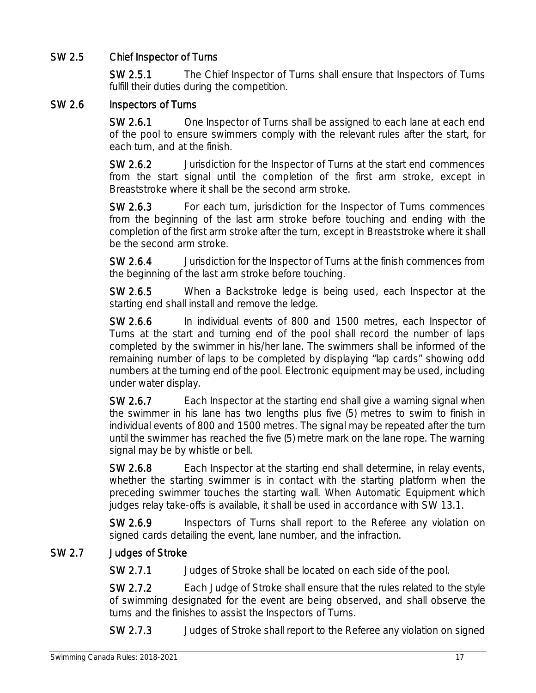### SW 2.5 Chief Inspector of Turns

SW 2.5.1 The Chief Inspector of Turns shall ensure that Inspectors of Turns fulfill their duties during the competition.

#### SW 2.6 Inspectors of Turns

SW 2.6.1 One Inspector of Turns shall be assigned to each lane at each end of the pool to ensure swimmers comply with the relevant rules after the start, for each turn, and at the finish.

SW 2.6.2 Jurisdiction for the Inspector of Turns at the start end commences from the start signal until the completion of the first arm stroke, except in Breaststroke where it shall be the second arm stroke.

SW 2.6.3 For each turn, jurisdiction for the Inspector of Turns commences from the beginning of the last arm stroke before touching and ending with the completion of the first arm stroke after the turn, except in Breaststroke where it shall be the second arm stroke.

SW 2.6.4 Jurisdiction for the Inspector of Turns at the finish commences from the beginning of the last arm stroke before touching.

SW 2.6.5 When a Backstroke ledge is being used, each Inspector at the starting end shall install and remove the ledge.

SW 2.6.6 In individual events of 800 and 1500 metres, each Inspector of Turns at the start and turning end of the pool shall record the number of laps completed by the swimmer in his/her lane. The swimmers shall be informed of the remaining number of laps to be completed by displaying "lap cards" showing odd numbers at the turning end of the pool. Electronic equipment may be used, including under water display.

SW 2.6.7 Each Inspector at the starting end shall give a warning signal when the swimmer in his lane has two lengths plus five (5) metres to swim to finish in individual events of 800 and 1500 metres. The signal may be repeated after the turn until the swimmer has reached the five (5) metre mark on the lane rope. The warning signal may be by whistle or bell.

SW 2.6.8 Each Inspector at the starting end shall determine, in relay events, whether the starting swimmer is in contact with the starting platform when the preceding swimmer touches the starting wall. When Automatic Equipment which judges relay take-offs is available, it shall be used in accordance with SW 13.1.

SW 2.6.9 Inspectors of Turns shall report to the Referee any violation on signed cards detailing the event, lane number, and the infraction.

### SW 2.7 Judges of Stroke

SW 2.7.1 Judges of Stroke shall be located on each side of the pool.

SW 2.7.2 Each Judge of Stroke shall ensure that the rules related to the style of swimming designated for the event are being observed, and shall observe the turns and the finishes to assist the Inspectors of Turns.

SW 2.7.3 Judges of Stroke shall report to the Referee any violation on signed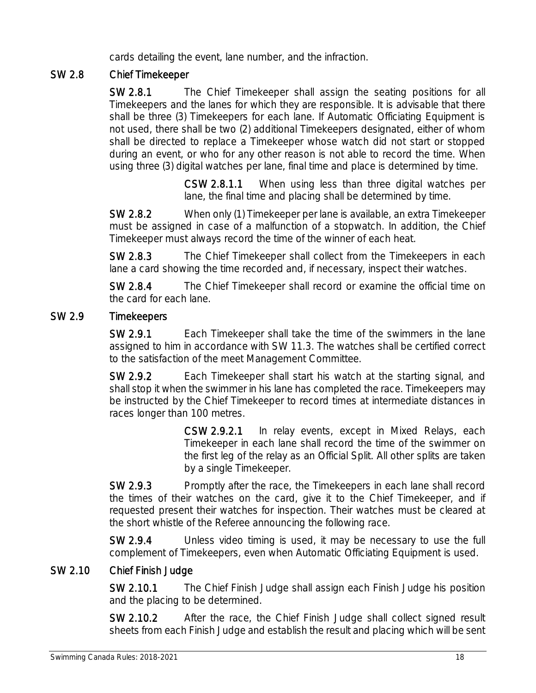cards detailing the event, lane number, and the infraction.

### SW 2.8 Chief Timekeeper

SW 2.8.1 The Chief Timekeeper shall assign the seating positions for all Timekeepers and the lanes for which they are responsible. It is advisable that there shall be three (3) Timekeepers for each lane. If Automatic Officiating Equipment is not used, there shall be two (2) additional Timekeepers designated, either of whom shall be directed to replace a Timekeeper whose watch did not start or stopped during an event, or who for any other reason is not able to record the time. When using three (3) digital watches per lane, final time and place is determined by time.

> CSW 2.8.1.1 When using less than three digital watches per lane, the final time and placing shall be determined by time.

SW 2.8.2 When only (1) Timekeeper per lane is available, an extra Timekeeper must be assigned in case of a malfunction of a stopwatch. In addition, the Chief Timekeeper must always record the time of the winner of each heat.

SW 2.8.3 The Chief Timekeeper shall collect from the Timekeepers in each lane a card showing the time recorded and, if necessary, inspect their watches.

SW 2.8.4 The Chief Timekeeper shall record or examine the official time on the card for each lane.

#### SW 2.9 Timekeepers

SW 2.9.1 Each Timekeeper shall take the time of the swimmers in the lane assigned to him in accordance with SW 11.3. The watches shall be certified correct to the satisfaction of the meet Management Committee.

SW 2.9.2 Each Timekeeper shall start his watch at the starting signal, and shall stop it when the swimmer in his lane has completed the race. Timekeepers may be instructed by the Chief Timekeeper to record times at intermediate distances in races longer than 100 metres.

> CSW 2.9.2.1 In relay events, except in Mixed Relays, each Timekeeper in each lane shall record the time of the swimmer on the first leg of the relay as an Official Split. All other splits are taken by a single Timekeeper.

SW 2.9.3 Promptly after the race, the Timekeepers in each lane shall record the times of their watches on the card, give it to the Chief Timekeeper, and if requested present their watches for inspection. Their watches must be cleared at the short whistle of the Referee announcing the following race.

SW 2.9.4 Unless video timing is used, it may be necessary to use the full complement of Timekeepers, even when Automatic Officiating Equipment is used.

### SW 2.10 Chief Finish Judge

SW 2.10.1 The Chief Finish Judge shall assign each Finish Judge his position and the placing to be determined.

SW 2.10.2 After the race, the Chief Finish Judge shall collect signed result sheets from each Finish Judge and establish the result and placing which will be sent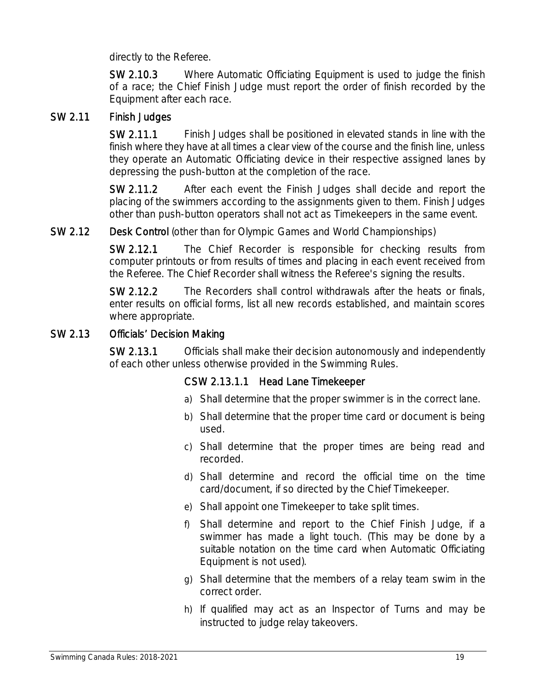directly to the Referee.

SW 2.10.3 Where Automatic Officiating Equipment is used to judge the finish of a race; the Chief Finish Judge must report the order of finish recorded by the Equipment after each race.

#### SW 2.11 Finish Judges

SW 2.11.1 Finish Judges shall be positioned in elevated stands in line with the finish where they have at all times a clear view of the course and the finish line, unless they operate an Automatic Officiating device in their respective assigned lanes by depressing the push-button at the completion of the race.

SW 2.11.2 After each event the Finish Judges shall decide and report the placing of the swimmers according to the assignments given to them. Finish Judges other than push-button operators shall not act as Timekeepers in the same event.

#### SW 2.12 Desk Control (other than for Olympic Games and World Championships)

SW 2.12.1 The Chief Recorder is responsible for checking results from computer printouts or from results of times and placing in each event received from the Referee. The Chief Recorder shall witness the Referee's signing the results.

SW 2.12.2 The Recorders shall control withdrawals after the heats or finals, enter results on official forms, list all new records established, and maintain scores where appropriate.

#### SW 2.13 Officials' Decision Making

SW 2.13.1 Officials shall make their decision autonomously and independently of each other unless otherwise provided in the Swimming Rules.

#### CSW 2.13.1.1 Head Lane Timekeeper

- a) Shall determine that the proper swimmer is in the correct lane.
- b) Shall determine that the proper time card or document is being used.
- c) Shall determine that the proper times are being read and recorded.
- d) Shall determine and record the official time on the time card/document, if so directed by the Chief Timekeeper.
- e) Shall appoint one Timekeeper to take split times.
- f) Shall determine and report to the Chief Finish Judge, if a swimmer has made a light touch. (This may be done by a suitable notation on the time card when Automatic Officiating Equipment is not used).
- g) Shall determine that the members of a relay team swim in the correct order.
- h) If qualified may act as an Inspector of Turns and may be instructed to judge relay takeovers.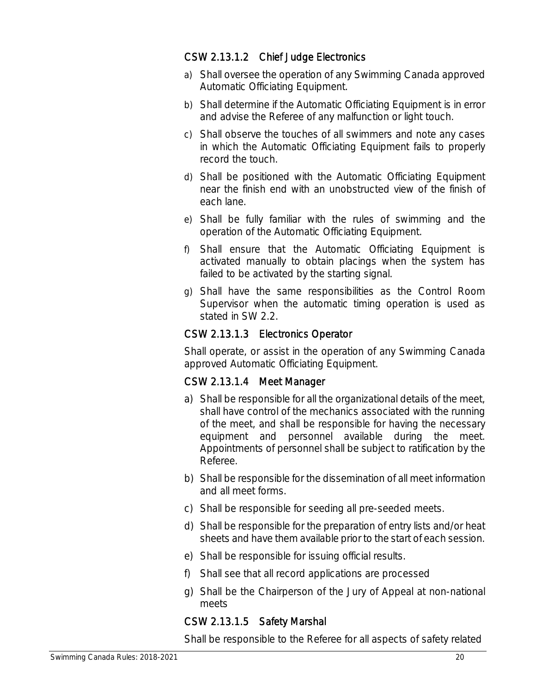#### CSW 2.13.1.2 Chief Judge Electronics

- a) Shall oversee the operation of any Swimming Canada approved Automatic Officiating Equipment.
- b) Shall determine if the Automatic Officiating Equipment is in error and advise the Referee of any malfunction or light touch.
- c) Shall observe the touches of all swimmers and note any cases in which the Automatic Officiating Equipment fails to properly record the touch.
- d) Shall be positioned with the Automatic Officiating Equipment near the finish end with an unobstructed view of the finish of each lane.
- e) Shall be fully familiar with the rules of swimming and the operation of the Automatic Officiating Equipment.
- f) Shall ensure that the Automatic Officiating Equipment is activated manually to obtain placings when the system has failed to be activated by the starting signal.
- g) Shall have the same responsibilities as the Control Room Supervisor when the automatic timing operation is used as stated in SW 2.2.

### CSW 2.13.1.3 Electronics Operator

Shall operate, or assist in the operation of any Swimming Canada approved Automatic Officiating Equipment.

#### CSW 2.13.1.4 Meet Manager

- a) Shall be responsible for all the organizational details of the meet, shall have control of the mechanics associated with the running of the meet, and shall be responsible for having the necessary equipment and personnel available during the meet. Appointments of personnel shall be subject to ratification by the Referee.
- b) Shall be responsible for the dissemination of all meet information and all meet forms.
- c) Shall be responsible for seeding all pre-seeded meets.
- d) Shall be responsible for the preparation of entry lists and/or heat sheets and have them available prior to the start of each session.
- e) Shall be responsible for issuing official results.
- f) Shall see that all record applications are processed
- g) Shall be the Chairperson of the Jury of Appeal at non-national meets

### CSW 2.13.1.5 Safety Marshal

Shall be responsible to the Referee for all aspects of safety related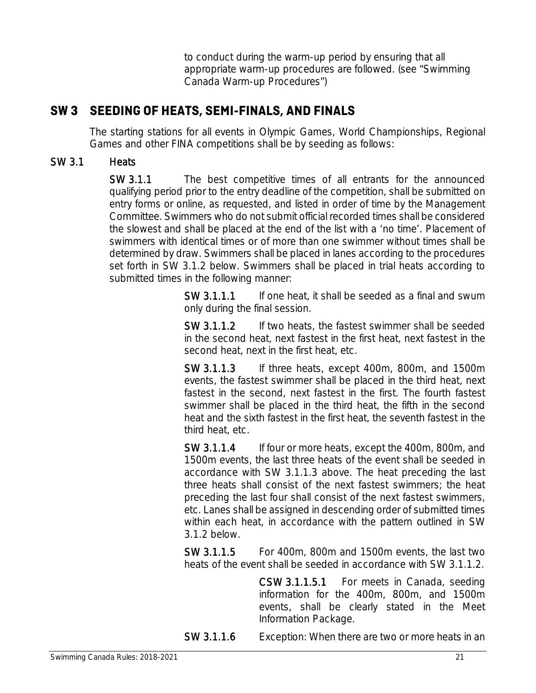to conduct during the warm-up period by ensuring that all appropriate warm-up procedures are followed. (see "Swimming Canada Warm-up Procedures")

### **SW 3 SEEDING OF HEATS, SEMI-FINALS, AND FINALS**

The starting stations for all events in Olympic Games, World Championships, Regional Games and other FINA competitions shall be by seeding as follows:

### SW 3.1 Heats

SW 3.1.1 The best competitive times of all entrants for the announced qualifying period prior to the entry deadline of the competition, shall be submitted on entry forms or online, as requested, and listed in order of time by the Management Committee. Swimmers who do not submit official recorded times shall be considered the slowest and shall be placed at the end of the list with a 'no time'. Placement of swimmers with identical times or of more than one swimmer without times shall be determined by draw. Swimmers shall be placed in lanes according to the procedures set forth in SW 3.1.2 below. Swimmers shall be placed in trial heats according to submitted times in the following manner:

> SW 3.1.1.1 If one heat, it shall be seeded as a final and swum only during the final session.

> SW 3.1.1.2 If two heats, the fastest swimmer shall be seeded in the second heat, next fastest in the first heat, next fastest in the second heat, next in the first heat, etc.

> SW 3.1.1.3 If three heats, except 400m, 800m, and 1500m events, the fastest swimmer shall be placed in the third heat, next fastest in the second, next fastest in the first. The fourth fastest swimmer shall be placed in the third heat, the fifth in the second heat and the sixth fastest in the first heat, the seventh fastest in the third heat, etc.

> SW 3.1.1.4 If four or more heats, except the 400m, 800m, and 1500m events, the last three heats of the event shall be seeded in accordance with SW 3.1.1.3 above. The heat preceding the last three heats shall consist of the next fastest swimmers; the heat preceding the last four shall consist of the next fastest swimmers, etc. Lanes shall be assigned in descending order of submitted times within each heat, in accordance with the pattern outlined in SW 3.1.2 below.

> SW 3.1.1.5 For 400m, 800m and 1500m events, the last two heats of the event shall be seeded in accordance with SW 3.1.1.2.

> > CSW 3.1.1.5.1 For meets in Canada, seeding information for the 400m, 800m, and 1500m events, shall be clearly stated in the Meet Information Package.

SW 3.1.1.6 Exception: When there are two or more heats in an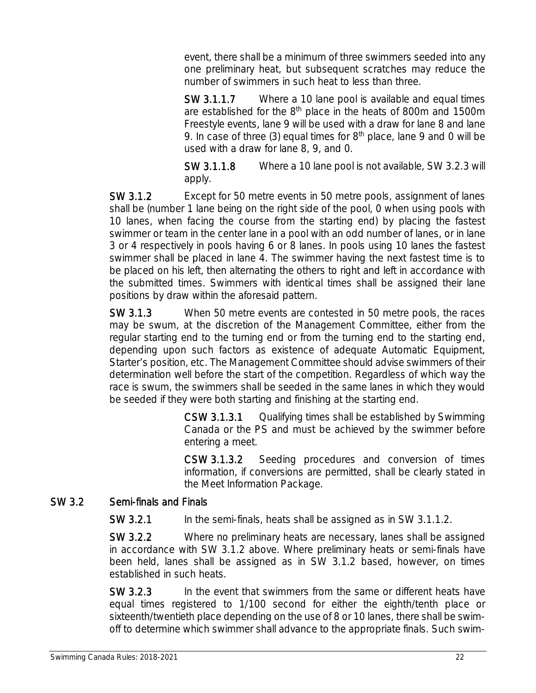event, there shall be a minimum of three swimmers seeded into any one preliminary heat, but subsequent scratches may reduce the number of swimmers in such heat to less than three.

SW 3.1.1.7 Where a 10 lane pool is available and equal times are established for the 8<sup>th</sup> place in the heats of 800m and 1500m Freestyle events, lane 9 will be used with a draw for lane 8 and lane 9. In case of three (3) equal times for  $8<sup>th</sup>$  place, lane 9 and 0 will be used with a draw for lane 8, 9, and 0.

SW 3.1.1.8 Where a 10 lane pool is not available, SW 3.2.3 will apply.

SW 3.1.2 Except for 50 metre events in 50 metre pools, assignment of lanes shall be (number 1 lane being on the right side of the pool, 0 when using pools with 10 lanes, when facing the course from the starting end) by placing the fastest swimmer or team in the center lane in a pool with an odd number of lanes, or in lane 3 or 4 respectively in pools having 6 or 8 lanes. In pools using 10 lanes the fastest swimmer shall be placed in lane 4. The swimmer having the next fastest time is to be placed on his left, then alternating the others to right and left in accordance with the submitted times. Swimmers with identical times shall be assigned their lane positions by draw within the aforesaid pattern.

SW 3.1.3 When 50 metre events are contested in 50 metre pools, the races may be swum, at the discretion of the Management Committee, either from the regular starting end to the turning end or from the turning end to the starting end, depending upon such factors as existence of adequate Automatic Equipment, Starter's position, etc. The Management Committee should advise swimmers of their determination well before the start of the competition. Regardless of which way the race is swum, the swimmers shall be seeded in the same lanes in which they would be seeded if they were both starting and finishing at the starting end.

> CSW 3.1.3.1 Qualifying times shall be established by Swimming Canada or the PS and must be achieved by the swimmer before entering a meet.

> CSW 3.1.3.2 Seeding procedures and conversion of times information, if conversions are permitted, shall be clearly stated in the Meet Information Package.

### SW 3.2 Semi-finals and Finals

SW 3.2.1 In the semi-finals, heats shall be assigned as in SW 3.1.1.2.

SW 3.2.2 Where no preliminary heats are necessary, lanes shall be assigned in accordance with SW 3.1.2 above. Where preliminary heats or semi-finals have been held, lanes shall be assigned as in SW 3.1.2 based, however, on times established in such heats.

SW 3.2.3 In the event that swimmers from the same or different heats have equal times registered to 1/100 second for either the eighth/tenth place or sixteenth/twentieth place depending on the use of 8 or 10 lanes, there shall be swimoff to determine which swimmer shall advance to the appropriate finals. Such swim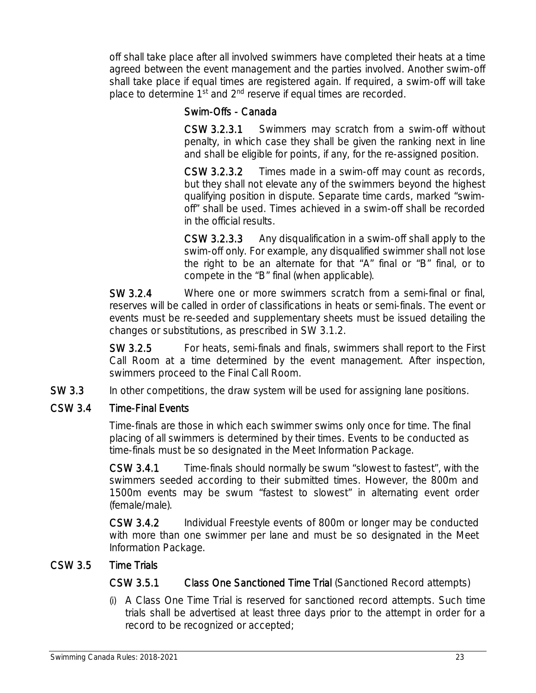off shall take place after all involved swimmers have completed their heats at a time agreed between the event management and the parties involved. Another swim-off shall take place if equal times are registered again. If required, a swim-off will take place to determine 1<sup>st</sup> and 2<sup>nd</sup> reserve if equal times are recorded.

### Swim-Offs - Canada

CSW 3.2.3.1 Swimmers may scratch from a swim-off without penalty, in which case they shall be given the ranking next in line and shall be eligible for points, if any, for the re-assigned position.

CSW 3.2.3.2 Times made in a swim-off may count as records, but they shall not elevate any of the swimmers beyond the highest qualifying position in dispute. Separate time cards, marked "swimoff" shall be used. Times achieved in a swim-off shall be recorded in the official results.

CSW 3.2.3.3 Any disqualification in a swim-off shall apply to the swim-off only. For example, any disqualified swimmer shall not lose the right to be an alternate for that "A" final or "B" final, or to compete in the "B" final (when applicable).

SW 3.2.4 Where one or more swimmers scratch from a semi-final or final, reserves will be called in order of classifications in heats or semi-finals. The event or events must be re-seeded and supplementary sheets must be issued detailing the changes or substitutions, as prescribed in SW 3.1.2.

SW 3.2.5 For heats, semi-finals and finals, swimmers shall report to the First Call Room at a time determined by the event management. After inspection, swimmers proceed to the Final Call Room.

SW 3.3 In other competitions, the draw system will be used for assigning lane positions.

### CSW 3.4 Time-Final Events

Time-finals are those in which each swimmer swims only once for time. The final placing of all swimmers is determined by their times. Events to be conducted as time-finals must be so designated in the Meet Information Package.

CSW 3.4.1 Time-finals should normally be swum "slowest to fastest", with the swimmers seeded according to their submitted times. However, the 800m and 1500m events may be swum "fastest to slowest" in alternating event order (female/male).

CSW 3.4.2 Individual Freestyle events of 800m or longer may be conducted with more than one swimmer per lane and must be so designated in the Meet Information Package.

### CSW 3.5 Time Trials

CSW 3.5.1 Class One Sanctioned Time Trial (Sanctioned Record attempts)

(i) A Class One Time Trial is reserved for sanctioned record attempts. Such time trials shall be advertised at least three days prior to the attempt in order for a record to be recognized or accepted;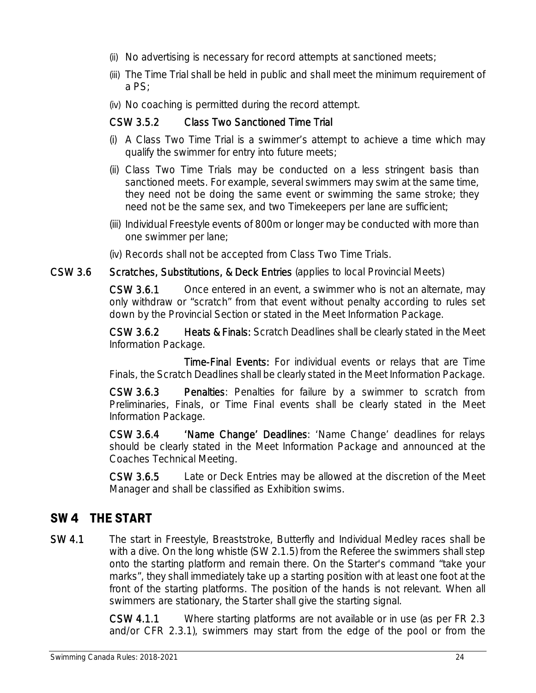- (ii) No advertising is necessary for record attempts at sanctioned meets;
- (iii) The Time Trial shall be held in public and shall meet the minimum requirement of a PS;
- (iv) No coaching is permitted during the record attempt.

### CSW 3.5.2 Class Two Sanctioned Time Trial

- (i) A Class Two Time Trial is a swimmer's attempt to achieve a time which may qualify the swimmer for entry into future meets;
- (ii) Class Two Time Trials may be conducted on a less stringent basis than sanctioned meets. For example, several swimmers may swim at the same time, they need not be doing the same event or swimming the same stroke; they need not be the same sex, and two Timekeepers per lane are sufficient;
- (iii) Individual Freestyle events of 800m or longer may be conducted with more than one swimmer per lane;
- (iv) Records shall not be accepted from Class Two Time Trials.

### CSW 3.6 Scratches, Substitutions, & Deck Entries (applies to local Provincial Meets)

CSW 3.6.1 Once entered in an event, a swimmer who is not an alternate, may only withdraw or "scratch" from that event without penalty according to rules set down by the Provincial Section or stated in the Meet Information Package.

CSW 3.6.2 Heats & Finals: Scratch Deadlines shall be clearly stated in the Meet Information Package.

Time-Final Events: For individual events or relays that are Time Finals, the Scratch Deadlines shall be clearly stated in the Meet Information Package.

CSW 3.6.3 Penalties: Penalties for failure by a swimmer to scratch from Preliminaries, Finals, or Time Final events shall be clearly stated in the Meet Information Package.

CSW 3.6.4 'Name Change' Deadlines: 'Name Change' deadlines for relays should be clearly stated in the Meet Information Package and announced at the Coaches Technical Meeting.

CSW 3.6.5 Late or Deck Entries may be allowed at the discretion of the Meet Manager and shall be classified as Exhibition swims.

### **SW 4 THE START**

SW 4.1 The start in Freestyle, Breaststroke, Butterfly and Individual Medley races shall be with a dive. On the long whistle (SW 2.1.5) from the Referee the swimmers shall step onto the starting platform and remain there. On the Starter's command "take your marks", they shall immediately take up a starting position with at least one foot at the front of the starting platforms. The position of the hands is not relevant. When all swimmers are stationary, the Starter shall give the starting signal.

> CSW 4.1.1 Where starting platforms are not available or in use (as per FR 2.3 and/or CFR 2.3.1), swimmers may start from the edge of the pool or from the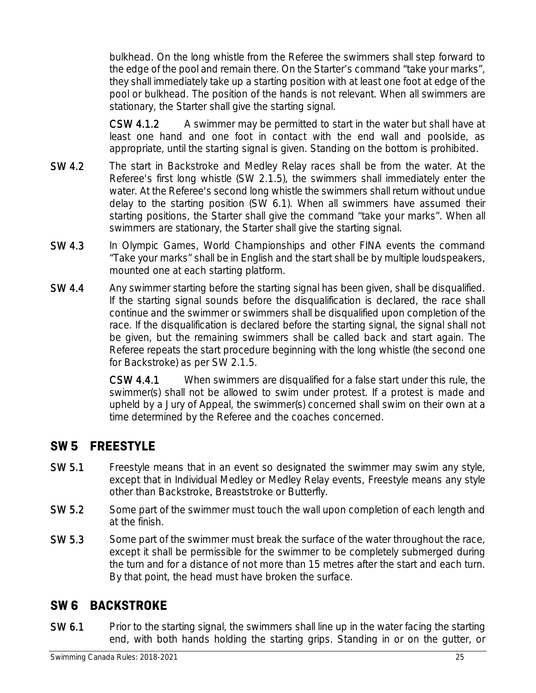bulkhead. On the long whistle from the Referee the swimmers shall step forward to the edge of the pool and remain there. On the Starter's command "take your marks", they shall immediately take up a starting position with at least one foot at edge of the pool or bulkhead. The position of the hands is not relevant. When all swimmers are stationary, the Starter shall give the starting signal.

CSW 4.1.2 A swimmer may be permitted to start in the water but shall have at least one hand and one foot in contact with the end wall and poolside, as appropriate, until the starting signal is given. Standing on the bottom is prohibited.

- SW 4.2 The start in Backstroke and Medley Relay races shall be from the water. At the Referee's first long whistle (SW 2.1.5), the swimmers shall immediately enter the water. At the Referee's second long whistle the swimmers shall return without undue delay to the starting position (SW 6.1). When all swimmers have assumed their starting positions, the Starter shall give the command "take your marks". When all swimmers are stationary, the Starter shall give the starting signal.
- SW 4.3 In Olympic Games, World Championships and other FINA events the command "Take your marks" shall be in English and the start shall be by multiple loudspeakers, mounted one at each starting platform.
- SW 4.4 Any swimmer starting before the starting signal has been given, shall be disqualified. If the starting signal sounds before the disqualification is declared, the race shall continue and the swimmer or swimmers shall be disqualified upon completion of the race. If the disqualification is declared before the starting signal, the signal shall not be given, but the remaining swimmers shall be called back and start again. The Referee repeats the start procedure beginning with the long whistle (the second one for Backstroke) as per SW 2.1.5.

CSW 4.4.1 When swimmers are disqualified for a false start under this rule, the swimmer(s) shall not be allowed to swim under protest. If a protest is made and upheld by a Jury of Appeal, the swimmer(s) concerned shall swim on their own at a time determined by the Referee and the coaches concerned.

### **SW 5 FREESTYLE**

- SW 5.1 Freestyle means that in an event so designated the swimmer may swim any style, except that in Individual Medley or Medley Relay events, Freestyle means any style other than Backstroke, Breaststroke or Butterfly.
- SW 5.2 Some part of the swimmer must touch the wall upon completion of each length and at the finish.
- SW 5.3 Some part of the swimmer must break the surface of the water throughout the race, except it shall be permissible for the swimmer to be completely submerged during the turn and for a distance of not more than 15 metres after the start and each turn. By that point, the head must have broken the surface.

### **SW 6 BACKSTROKE**

SW 6.1 Prior to the starting signal, the swimmers shall line up in the water facing the starting end, with both hands holding the starting grips. Standing in or on the gutter, or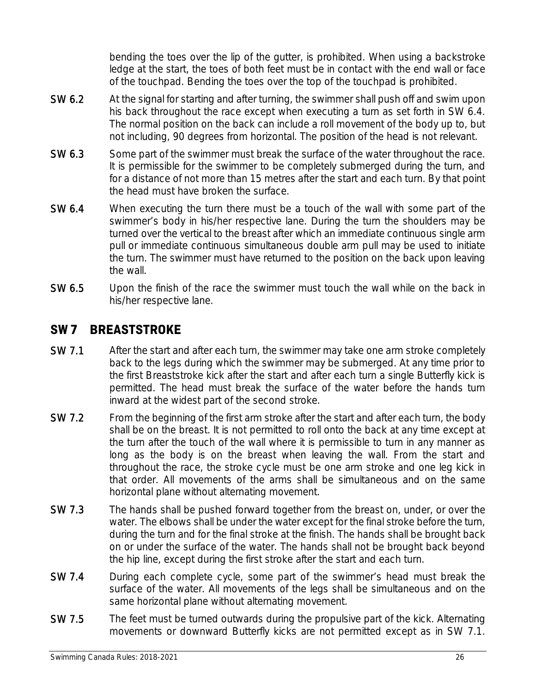bending the toes over the lip of the gutter, is prohibited. When using a backstroke ledge at the start, the toes of both feet must be in contact with the end wall or face of the touchpad. Bending the toes over the top of the touchpad is prohibited.

- SW 6.2 At the signal for starting and after turning, the swimmer shall push off and swim upon his back throughout the race except when executing a turn as set forth in SW 6.4. The normal position on the back can include a roll movement of the body up to, but not including, 90 degrees from horizontal. The position of the head is not relevant.
- SW 6.3 Some part of the swimmer must break the surface of the water throughout the race. It is permissible for the swimmer to be completely submerged during the turn, and for a distance of not more than 15 metres after the start and each turn. By that point the head must have broken the surface.
- SW 6.4 When executing the turn there must be a touch of the wall with some part of the swimmer's body in his/her respective lane. During the turn the shoulders may be turned over the vertical to the breast after which an immediate continuous single arm pull or immediate continuous simultaneous double arm pull may be used to initiate the turn. The swimmer must have returned to the position on the back upon leaving the wall.
- SW 6.5 Upon the finish of the race the swimmer must touch the wall while on the back in his/her respective lane.

### **SW 7 BREASTSTROKE**

- SW 7.1 After the start and after each turn, the swimmer may take one arm stroke completely back to the legs during which the swimmer may be submerged. At any time prior to the first Breaststroke kick after the start and after each turn a single Butterfly kick is permitted. The head must break the surface of the water before the hands turn inward at the widest part of the second stroke.
- SW 7.2 From the beginning of the first arm stroke after the start and after each turn, the body shall be on the breast. It is not permitted to roll onto the back at any time except at the turn after the touch of the wall where it is permissible to turn in any manner as long as the body is on the breast when leaving the wall. From the start and throughout the race, the stroke cycle must be one arm stroke and one leg kick in that order. All movements of the arms shall be simultaneous and on the same horizontal plane without alternating movement.
- SW 7.3 The hands shall be pushed forward together from the breast on, under, or over the water. The elbows shall be under the water except for the final stroke before the turn, during the turn and for the final stroke at the finish. The hands shall be brought back on or under the surface of the water. The hands shall not be brought back beyond the hip line, except during the first stroke after the start and each turn.
- SW 7.4 During each complete cycle, some part of the swimmer's head must break the surface of the water. All movements of the legs shall be simultaneous and on the same horizontal plane without alternating movement.
- SW 7.5 The feet must be turned outwards during the propulsive part of the kick. Alternating movements or downward Butterfly kicks are not permitted except as in SW 7.1.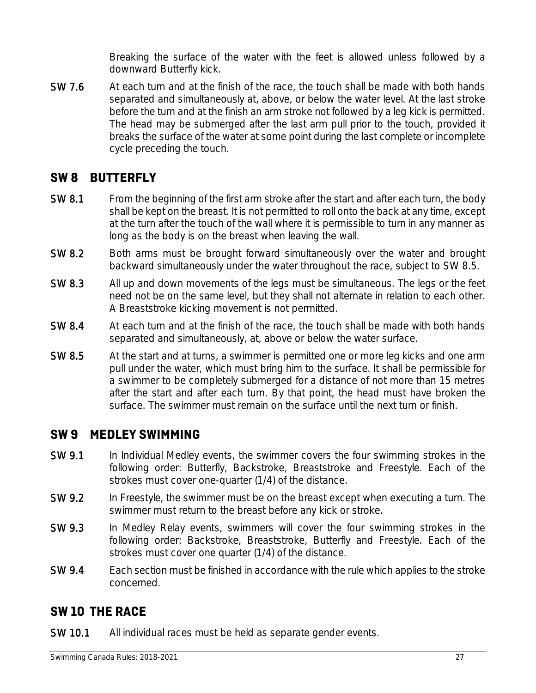Breaking the surface of the water with the feet is allowed unless followed by a downward Butterfly kick.

SW 7.6 At each turn and at the finish of the race, the touch shall be made with both hands separated and simultaneously at, above, or below the water level. At the last stroke before the turn and at the finish an arm stroke not followed by a leg kick is permitted. The head may be submerged after the last arm pull prior to the touch, provided it breaks the surface of the water at some point during the last complete or incomplete cycle preceding the touch.

### **SW 8 BUTTERFLY**

- SW 8.1 From the beginning of the first arm stroke after the start and after each turn, the body shall be kept on the breast. It is not permitted to roll onto the back at any time, except at the turn after the touch of the wall where it is permissible to turn in any manner as long as the body is on the breast when leaving the wall.
- SW 8.2 Both arms must be brought forward simultaneously over the water and brought backward simultaneously under the water throughout the race, subject to SW 8.5.
- SW 8.3 All up and down movements of the legs must be simultaneous. The legs or the feet need not be on the same level, but they shall not alternate in relation to each other. A Breaststroke kicking movement is not permitted.
- SW 8.4 At each turn and at the finish of the race, the touch shall be made with both hands separated and simultaneously, at, above or below the water surface.
- SW 8.5 At the start and at turns, a swimmer is permitted one or more leg kicks and one arm pull under the water, which must bring him to the surface. It shall be permissible for a swimmer to be completely submerged for a distance of not more than 15 metres after the start and after each turn. By that point, the head must have broken the surface. The swimmer must remain on the surface until the next turn or finish.

### **SW 9 MEDLEY SWIMMING**

- SW 9.1 In Individual Medley events, the swimmer covers the four swimming strokes in the following order: Butterfly, Backstroke, Breaststroke and Freestyle. Each of the strokes must cover one-quarter (1/4) of the distance.
- SW 9.2 In Freestyle, the swimmer must be on the breast except when executing a turn. The swimmer must return to the breast before any kick or stroke.
- SW 9.3 In Medley Relay events, swimmers will cover the four swimming strokes in the following order: Backstroke, Breaststroke, Butterfly and Freestyle. Each of the strokes must cover one quarter (1/4) of the distance.
- SW 9.4 Each section must be finished in accordance with the rule which applies to the stroke concerned.

### **SW 10 THE RACE**

SW 10.1 All individual races must be held as separate gender events.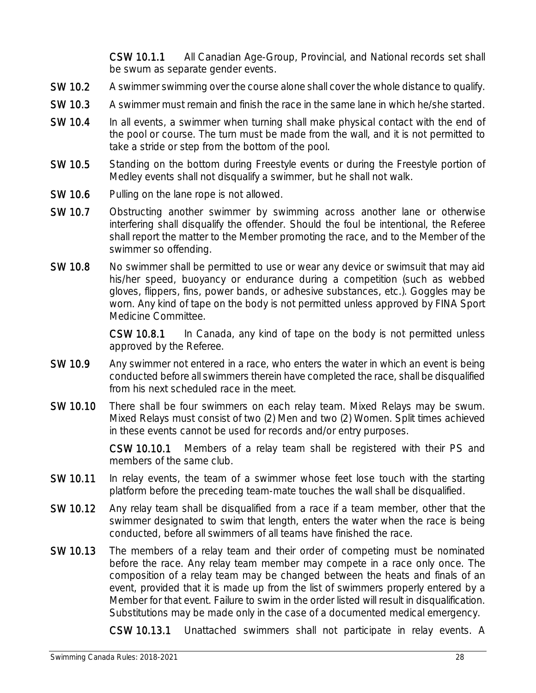CSW 10.1.1 All Canadian Age-Group, Provincial, and National records set shall be swum as separate gender events.

- SW 10.2 A swimmer swimming over the course alone shall cover the whole distance to qualify.
- SW 10.3 A swimmer must remain and finish the race in the same lane in which he/she started.
- SW 10.4 In all events, a swimmer when turning shall make physical contact with the end of the pool or course. The turn must be made from the wall, and it is not permitted to take a stride or step from the bottom of the pool.
- SW 10.5 Standing on the bottom during Freestyle events or during the Freestyle portion of Medley events shall not disqualify a swimmer, but he shall not walk.
- SW 10.6 Pulling on the lane rope is not allowed.
- SW 10.7 Obstructing another swimmer by swimming across another lane or otherwise interfering shall disqualify the offender. Should the foul be intentional, the Referee shall report the matter to the Member promoting the race, and to the Member of the swimmer so offending.
- SW 10.8 No swimmer shall be permitted to use or wear any device or swimsuit that may aid his/her speed, buoyancy or endurance during a competition (such as webbed gloves, flippers, fins, power bands, or adhesive substances, etc.). Goggles may be worn. Any kind of tape on the body is not permitted unless approved by FINA Sport Medicine Committee.

CSW 10.8.1 In Canada, any kind of tape on the body is not permitted unless approved by the Referee.

- SW 10.9 Any swimmer not entered in a race, who enters the water in which an event is being conducted before all swimmers therein have completed the race, shall be disqualified from his next scheduled race in the meet.
- SW 10.10 There shall be four swimmers on each relay team. Mixed Relays may be swum. Mixed Relays must consist of two (2) Men and two (2) Women. Split times achieved in these events cannot be used for records and/or entry purposes.

CSW 10.10.1 Members of a relay team shall be registered with their PS and members of the same club.

- SW 10.11 In relay events, the team of a swimmer whose feet lose touch with the starting platform before the preceding team-mate touches the wall shall be disqualified.
- SW 10.12 Any relay team shall be disqualified from a race if a team member, other that the swimmer designated to swim that length, enters the water when the race is being conducted, before all swimmers of all teams have finished the race.
- SW 10.13 The members of a relay team and their order of competing must be nominated before the race. Any relay team member may compete in a race only once. The composition of a relay team may be changed between the heats and finals of an event, provided that it is made up from the list of swimmers properly entered by a Member for that event. Failure to swim in the order listed will result in disqualification. Substitutions may be made only in the case of a documented medical emergency.

CSW 10.13.1 Unattached swimmers shall not participate in relay events. A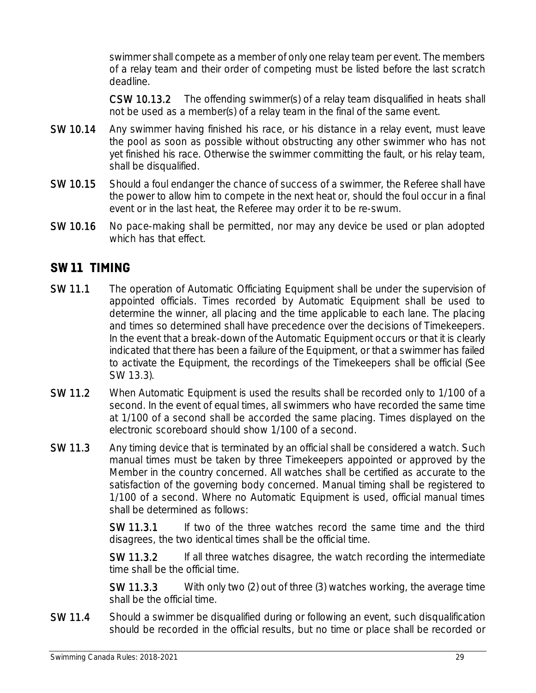swimmer shall compete as a member of only one relay team per event. The members of a relay team and their order of competing must be listed before the last scratch deadline.

CSW 10.13.2 The offending swimmer(s) of a relay team disqualified in heats shall not be used as a member(s) of a relay team in the final of the same event.

- SW 10.14 Any swimmer having finished his race, or his distance in a relay event, must leave the pool as soon as possible without obstructing any other swimmer who has not yet finished his race. Otherwise the swimmer committing the fault, or his relay team, shall be disqualified.
- SW 10.15 Should a foul endanger the chance of success of a swimmer, the Referee shall have the power to allow him to compete in the next heat or, should the foul occur in a final event or in the last heat, the Referee may order it to be re-swum.
- SW 10.16 No pace-making shall be permitted, nor may any device be used or plan adopted which has that effect.

### **SW 11 TIMING**

- SW 11.1 The operation of Automatic Officiating Equipment shall be under the supervision of appointed officials. Times recorded by Automatic Equipment shall be used to determine the winner, all placing and the time applicable to each lane. The placing and times so determined shall have precedence over the decisions of Timekeepers. In the event that a break-down of the Automatic Equipment occurs or that it is clearly indicated that there has been a failure of the Equipment, or that a swimmer has failed to activate the Equipment, the recordings of the Timekeepers shall be official (See SW 13.3).
- SW 11.2 When Automatic Equipment is used the results shall be recorded only to 1/100 of a second. In the event of equal times, all swimmers who have recorded the same time at 1/100 of a second shall be accorded the same placing. Times displayed on the electronic scoreboard should show 1/100 of a second.
- SW 11.3 Any timing device that is terminated by an official shall be considered a watch. Such manual times must be taken by three Timekeepers appointed or approved by the Member in the country concerned. All watches shall be certified as accurate to the satisfaction of the governing body concerned. Manual timing shall be registered to 1/100 of a second. Where no Automatic Equipment is used, official manual times shall be determined as follows:

SW 11.3.1 If two of the three watches record the same time and the third disagrees, the two identical times shall be the official time.

SW 11.3.2 If all three watches disagree, the watch recording the intermediate time shall be the official time.

SW 11.3.3 With only two (2) out of three (3) watches working, the average time shall be the official time.

SW 11.4 Should a swimmer be disqualified during or following an event, such disqualification should be recorded in the official results, but no time or place shall be recorded or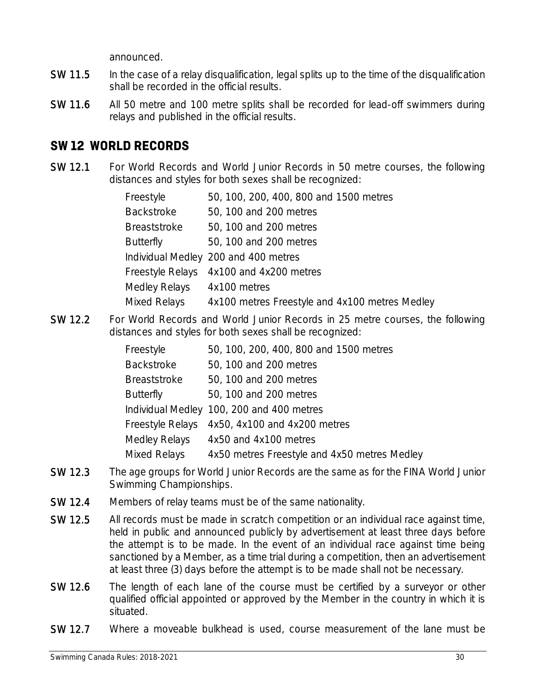announced.

- SW 11.5 In the case of a relay disqualification, legal splits up to the time of the disqualification shall be recorded in the official results.
- SW 11.6 All 50 metre and 100 metre splits shall be recorded for lead-off swimmers during relays and published in the official results.

### **SW 12 WORLD RECORDS**

SW 12.1 For World Records and World Junior Records in 50 metre courses, the following distances and styles for both sexes shall be recognized:

| Freestyle           | 50, 100, 200, 400, 800 and 1500 metres         |
|---------------------|------------------------------------------------|
| <b>Backstroke</b>   | 50, 100 and 200 metres                         |
| <b>Breaststroke</b> | 50, 100 and 200 metres                         |
| <b>Butterfly</b>    | 50, 100 and 200 metres                         |
|                     | Individual Medley 200 and 400 metres           |
|                     | Freestyle Relays 4x100 and 4x200 metres        |
| Medley Relays       | 4x100 metres                                   |
| Mixed Relays        | 4x100 metres Freestyle and 4x100 metres Medley |

SW 12.2 For World Records and World Junior Records in 25 metre courses, the following distances and styles for both sexes shall be recognized:

| Freestyle               | 50, 100, 200, 400, 800 and 1500 metres       |
|-------------------------|----------------------------------------------|
| <b>Backstroke</b>       | 50, 100 and 200 metres                       |
| <b>Breaststroke</b>     | 50, 100 and 200 metres                       |
| <b>Butterfly</b>        | 50, 100 and 200 metres                       |
|                         | Individual Medley 100, 200 and 400 metres    |
| <b>Freestyle Relays</b> | 4x50, 4x100 and 4x200 metres                 |
| Medley Relays           | 4x50 and 4x100 metres                        |
| Mixed Relays            | 4x50 metres Freestyle and 4x50 metres Medley |

- SW 12.3 The age groups for World Junior Records are the same as for the FINA World Junior Swimming Championships.
- SW 12.4 Members of relay teams must be of the same nationality.
- SW 12.5 All records must be made in scratch competition or an individual race against time, held in public and announced publicly by advertisement at least three days before the attempt is to be made. In the event of an individual race against time being sanctioned by a Member, as a time trial during a competition, then an advertisement at least three (3) days before the attempt is to be made shall not be necessary.
- SW 12.6 The length of each lane of the course must be certified by a surveyor or other qualified official appointed or approved by the Member in the country in which it is situated.
- SW 12.7 Where a moveable bulkhead is used, course measurement of the lane must be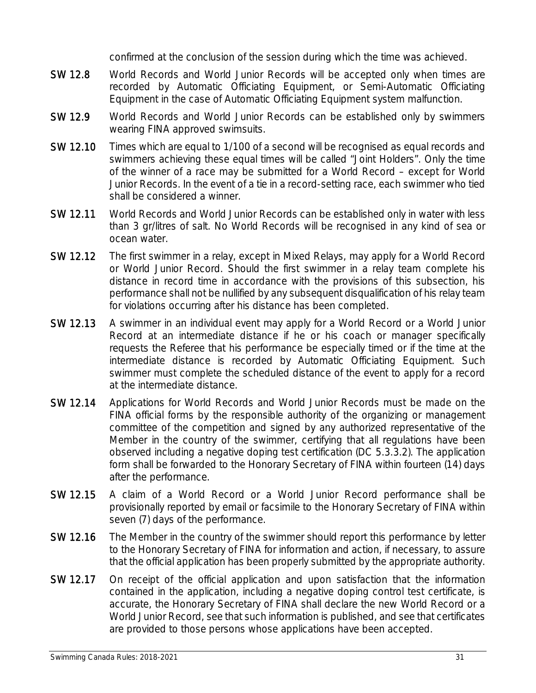confirmed at the conclusion of the session during which the time was achieved.

- SW 12.8 World Records and World Junior Records will be accepted only when times are recorded by Automatic Officiating Equipment, or Semi-Automatic Officiating Equipment in the case of Automatic Officiating Equipment system malfunction.
- SW 12.9 World Records and World Junior Records can be established only by swimmers wearing FINA approved swimsuits.
- SW 12.10 Times which are equal to 1/100 of a second will be recognised as equal records and swimmers achieving these equal times will be called "Joint Holders". Only the time of the winner of a race may be submitted for a World Record – except for World Junior Records. In the event of a tie in a record-setting race, each swimmer who tied shall be considered a winner.
- SW 12.11 World Records and World Junior Records can be established only in water with less than 3 gr/litres of salt. No World Records will be recognised in any kind of sea or ocean water.
- SW 12.12 The first swimmer in a relay, except in Mixed Relays, may apply for a World Record or World Junior Record. Should the first swimmer in a relay team complete his distance in record time in accordance with the provisions of this subsection, his performance shall not be nullified by any subsequent disqualification of his relay team for violations occurring after his distance has been completed.
- SW 12.13 A swimmer in an individual event may apply for a World Record or a World Junior Record at an intermediate distance if he or his coach or manager specifically requests the Referee that his performance be especially timed or if the time at the intermediate distance is recorded by Automatic Officiating Equipment. Such swimmer must complete the scheduled distance of the event to apply for a record at the intermediate distance.
- SW 12.14 Applications for World Records and World Junior Records must be made on the FINA official forms by the responsible authority of the organizing or management committee of the competition and signed by any authorized representative of the Member in the country of the swimmer, certifying that all regulations have been observed including a negative doping test certification (DC 5.3.3.2). The application form shall be forwarded to the Honorary Secretary of FINA within fourteen (14) days after the performance.
- SW 12.15 A claim of a World Record or a World Junior Record performance shall be provisionally reported by email or facsimile to the Honorary Secretary of FINA within seven (7) days of the performance.
- SW 12.16 The Member in the country of the swimmer should report this performance by letter to the Honorary Secretary of FINA for information and action, if necessary, to assure that the official application has been properly submitted by the appropriate authority.
- SW 12.17 On receipt of the official application and upon satisfaction that the information contained in the application, including a negative doping control test certificate, is accurate, the Honorary Secretary of FINA shall declare the new World Record or a World Junior Record, see that such information is published, and see that certificates are provided to those persons whose applications have been accepted.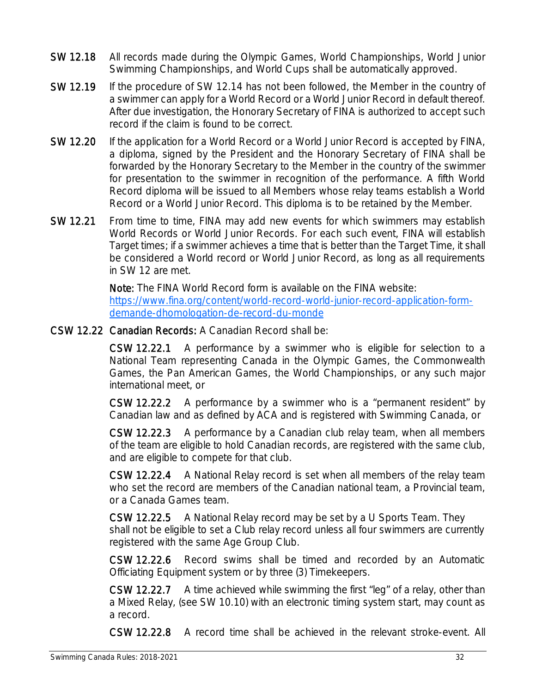- SW 12.18 All records made during the Olympic Games, World Championships, World Junior Swimming Championships, and World Cups shall be automatically approved.
- SW 12.19 If the procedure of SW 12.14 has not been followed, the Member in the country of a swimmer can apply for a World Record or a World Junior Record in default thereof. After due investigation, the Honorary Secretary of FINA is authorized to accept such record if the claim is found to be correct.
- SW 12.20 If the application for a World Record or a World Junior Record is accepted by FINA, a diploma, signed by the President and the Honorary Secretary of FINA shall be forwarded by the Honorary Secretary to the Member in the country of the swimmer for presentation to the swimmer in recognition of the performance. A fifth World Record diploma will be issued to all Members whose relay teams establish a World Record or a World Junior Record. This diploma is to be retained by the Member.
- SW 12.21 From time to time, FINA may add new events for which swimmers may establish World Records or World Junior Records. For each such event, FINA will establish Target times; if a swimmer achieves a time that is better than the Target Time, it shall be considered a World record or World Junior Record, as long as all requirements in SW 12 are met.

Note: The FINA World Record form is available on the FINA website: https://www.fina.org/content/world-record-world-junior-record-application-formdemande-dhomologation-de-record-du-monde

CSW 12.22 Canadian Records: A Canadian Record shall be:

CSW 12.22.1 A performance by a swimmer who is eligible for selection to a National Team representing Canada in the Olympic Games, the Commonwealth Games, the Pan American Games, the World Championships, or any such major international meet, or

CSW 12.22.2 A performance by a swimmer who is a "permanent resident" by Canadian law and as defined by ACA and is registered with Swimming Canada, or

CSW 12.22.3 A performance by a Canadian club relay team, when all members of the team are eligible to hold Canadian records, are registered with the same club, and are eligible to compete for that club.

CSW 12.22.4 A National Relay record is set when all members of the relay team who set the record are members of the Canadian national team, a Provincial team, or a Canada Games team.

CSW 12.22.5 A National Relay record may be set by a U Sports Team. They shall not be eligible to set a Club relay record unless all four swimmers are currently registered with the same Age Group Club.

CSW 12.22.6 Record swims shall be timed and recorded by an Automatic Officiating Equipment system or by three (3) Timekeepers.

CSW 12.22.7 A time achieved while swimming the first "leg" of a relay, other than a Mixed Relay, (see SW 10.10) with an electronic timing system start, may count as a record.

CSW 12.22.8 A record time shall be achieved in the relevant stroke-event. All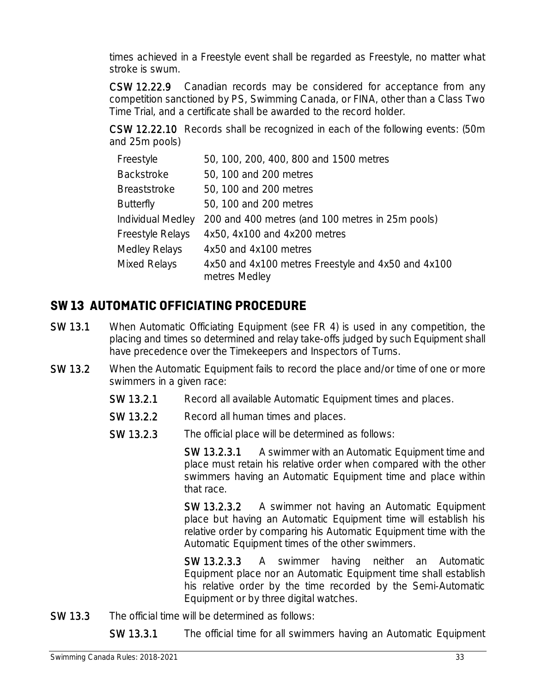times achieved in a Freestyle event shall be regarded as Freestyle, no matter what stroke is swum.

CSW 12.22.9 Canadian records may be considered for acceptance from any competition sanctioned by PS, Swimming Canada, or FINA, other than a Class Two Time Trial, and a certificate shall be awarded to the record holder.

CSW 12.22.10 Records shall be recognized in each of the following events: (50m and 25m pools)

| Freestyle           | 50, 100, 200, 400, 800 and 1500 metres                              |
|---------------------|---------------------------------------------------------------------|
| <b>Backstroke</b>   | 50, 100 and 200 metres                                              |
| <b>Breaststroke</b> | 50, 100 and 200 metres                                              |
| <b>Butterfly</b>    | 50, 100 and 200 metres                                              |
| Individual Medley   | 200 and 400 metres (and 100 metres in 25m pools)                    |
| Freestyle Relays    | 4x50, 4x100 and 4x200 metres                                        |
| Medley Relays       | 4x50 and 4x100 metres                                               |
| Mixed Relays        | 4x50 and 4x100 metres Freestyle and 4x50 and 4x100<br>metres Medley |

### **SW 13 AUTOMATIC OFFICIATING PROCEDURE**

- SW 13.1 When Automatic Officiating Equipment (see FR 4) is used in any competition, the placing and times so determined and relay take-offs judged by such Equipment shall have precedence over the Timekeepers and Inspectors of Turns.
- SW 13.2 When the Automatic Equipment fails to record the place and/or time of one or more swimmers in a given race:
	- SW 13.2.1 Record all available Automatic Equipment times and places.
	- SW 13.2.2 Record all human times and places.
	- SW 13.2.3 The official place will be determined as follows:

SW 13.2.3.1 A swimmer with an Automatic Equipment time and place must retain his relative order when compared with the other swimmers having an Automatic Equipment time and place within that race.

SW 13.2.3.2 A swimmer not having an Automatic Equipment place but having an Automatic Equipment time will establish his relative order by comparing his Automatic Equipment time with the Automatic Equipment times of the other swimmers.

SW 13.2.3.3 A swimmer having neither an Automatic Equipment place nor an Automatic Equipment time shall establish his relative order by the time recorded by the Semi-Automatic Equipment or by three digital watches.

SW 13.3 The official time will be determined as follows:

SW 13.3.1 The official time for all swimmers having an Automatic Equipment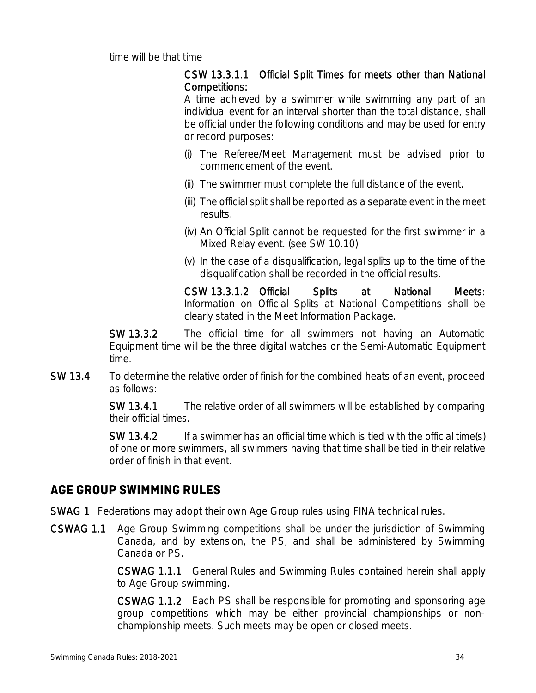time will be that time

#### CSW 13.3.1.1 Official Split Times for meets other than National Competitions:

A time achieved by a swimmer while swimming any part of an individual event for an interval shorter than the total distance, shall be official under the following conditions and may be used for entry or record purposes:

- (i) The Referee/Meet Management must be advised prior to commencement of the event.
- (ii) The swimmer must complete the full distance of the event.
- (iii) The official split shall be reported as a separate event in the meet results.
- (iv) An Official Split cannot be requested for the first swimmer in a Mixed Relay event. (see SW 10.10)
- (v) In the case of a disqualification, legal splits up to the time of the disqualification shall be recorded in the official results.

CSW 13.3.1.2 Official Splits at National Meets: Information on Official Splits at National Competitions shall be clearly stated in the Meet Information Package.

SW 13.3.2 The official time for all swimmers not having an Automatic Equipment time will be the three digital watches or the Semi-Automatic Equipment time.

#### SW 13.4 To determine the relative order of finish for the combined heats of an event, proceed as follows:

SW 13.4.1 The relative order of all swimmers will be established by comparing their official times.

SW 13.4.2 If a swimmer has an official time which is tied with the official time(s) of one or more swimmers, all swimmers having that time shall be tied in their relative order of finish in that event.

### **AGE GROUP SWIMMING RULES**

SWAG 1 Federations may adopt their own Age Group rules using FINA technical rules.

CSWAG 1.1 Age Group Swimming competitions shall be under the jurisdiction of Swimming Canada, and by extension, the PS, and shall be administered by Swimming Canada or PS.

> CSWAG 1.1.1 General Rules and Swimming Rules contained herein shall apply to Age Group swimming.

> CSWAG 1.1.2 Each PS shall be responsible for promoting and sponsoring age group competitions which may be either provincial championships or nonchampionship meets. Such meets may be open or closed meets.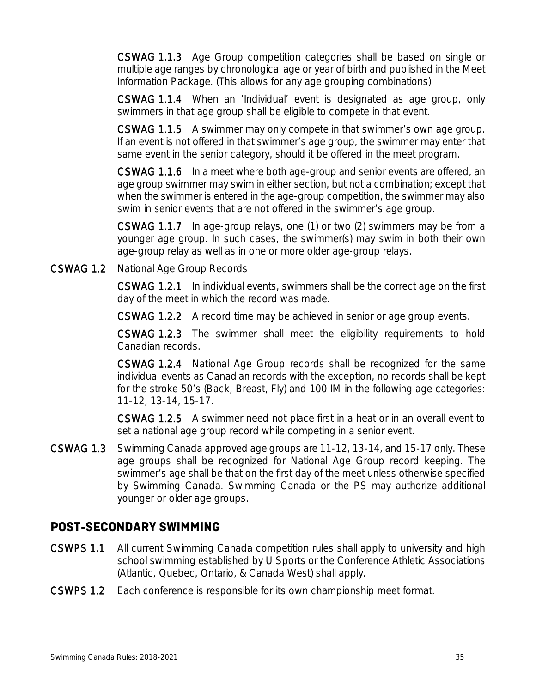CSWAG 1.1.3 Age Group competition categories shall be based on single or multiple age ranges by chronological age or year of birth and published in the Meet Information Package. (This allows for any age grouping combinations)

CSWAG 1.1.4 When an 'Individual' event is designated as age group, only swimmers in that age group shall be eligible to compete in that event.

CSWAG 1.1.5 A swimmer may only compete in that swimmer's own age group. If an event is not offered in that swimmer's age group, the swimmer may enter that same event in the senior category, should it be offered in the meet program.

CSWAG 1.1.6 In a meet where both age-group and senior events are offered, an age group swimmer may swim in either section, but not a combination; except that when the swimmer is entered in the age-group competition, the swimmer may also swim in senior events that are not offered in the swimmer's age group.

CSWAG 1.1.7 In age-group relays, one (1) or two (2) swimmers may be from a younger age group. In such cases, the swimmer(s) may swim in both their own age-group relay as well as in one or more older age-group relays.

CSWAG 1.2 National Age Group Records

CSWAG 1.2.1 In individual events, swimmers shall be the correct age on the first day of the meet in which the record was made.

CSWAG 1.2.2 A record time may be achieved in senior or age group events.

CSWAG 1.2.3 The swimmer shall meet the eligibility requirements to hold Canadian records.

CSWAG 1.2.4 National Age Group records shall be recognized for the same individual events as Canadian records with the exception, no records shall be kept for the stroke 50's (Back, Breast, Fly) and 100 IM in the following age categories: 11-12, 13-14, 15-17.

CSWAG 1.2.5 A swimmer need not place first in a heat or in an overall event to set a national age group record while competing in a senior event.

CSWAG 1.3 Swimming Canada approved age groups are 11-12, 13-14, and 15-17 only. These age groups shall be recognized for National Age Group record keeping. The swimmer's age shall be that on the first day of the meet unless otherwise specified by Swimming Canada. Swimming Canada or the PS may authorize additional younger or older age groups.

### **POST-SECONDARY SWIMMING**

- CSWPS 1.1 All current Swimming Canada competition rules shall apply to university and high school swimming established by U Sports or the Conference Athletic Associations (Atlantic, Quebec, Ontario, & Canada West) shall apply.
- CSWPS 1.2 Each conference is responsible for its own championship meet format.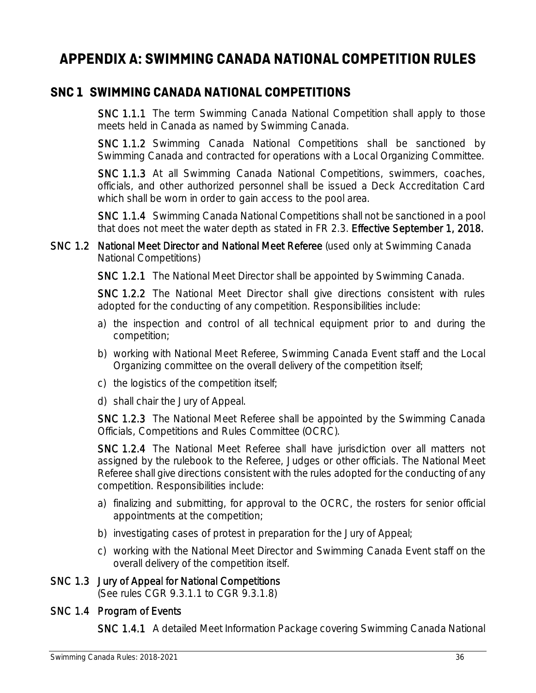## **APPENDIX A: SWIMMING CANADA NATIONAL COMPETITION RULES**

### **SNC 1 SWIMMING CANADA NATIONAL COMPETITIONS**

SNC 1.1.1 The term Swimming Canada National Competition shall apply to those meets held in Canada as named by Swimming Canada.

SNC 1.1.2 Swimming Canada National Competitions shall be sanctioned by Swimming Canada and contracted for operations with a Local Organizing Committee.

SNC 1.1.3 At all Swimming Canada National Competitions, swimmers, coaches, officials, and other authorized personnel shall be issued a Deck Accreditation Card which shall be worn in order to gain access to the pool area.

SNC 1.1.4 Swimming Canada National Competitions shall not be sanctioned in a pool that does not meet the water depth as stated in FR 2.3. Effective September 1, 2018.

SNC 1.2 National Meet Director and National Meet Referee (used only at Swimming Canada National Competitions)

SNC 1.2.1 The National Meet Director shall be appointed by Swimming Canada.

SNC 1.2.2 The National Meet Director shall give directions consistent with rules adopted for the conducting of any competition. Responsibilities include:

- a) the inspection and control of all technical equipment prior to and during the competition;
- b) working with National Meet Referee, Swimming Canada Event staff and the Local Organizing committee on the overall delivery of the competition itself;
- c) the logistics of the competition itself;
- d) shall chair the Jury of Appeal.

SNC 1.2.3 The National Meet Referee shall be appointed by the Swimming Canada Officials, Competitions and Rules Committee (OCRC).

SNC 1.2.4 The National Meet Referee shall have jurisdiction over all matters not assigned by the rulebook to the Referee, Judges or other officials. The National Meet Referee shall give directions consistent with the rules adopted for the conducting of any competition. Responsibilities include:

- a) finalizing and submitting, for approval to the OCRC, the rosters for senior official appointments at the competition;
- b) investigating cases of protest in preparation for the Jury of Appeal;
- c) working with the National Meet Director and Swimming Canada Event staff on the overall delivery of the competition itself.

### SNC 1.3 Jury of Appeal for National Competitions

(See rules CGR 9.3.1.1 to CGR 9.3.1.8)

### SNC 1.4 Program of Events

SNC 1.4.1 A detailed Meet Information Package covering Swimming Canada National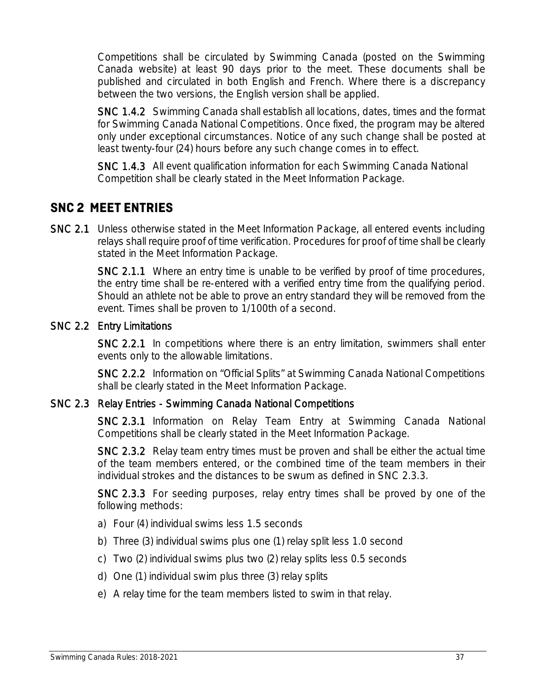Competitions shall be circulated by Swimming Canada (posted on the Swimming Canada website) at least 90 days prior to the meet. These documents shall be published and circulated in both English and French. Where there is a discrepancy between the two versions, the English version shall be applied.

SNC 1.4.2 Swimming Canada shall establish all locations, dates, times and the format for Swimming Canada National Competitions. Once fixed, the program may be altered only under exceptional circumstances. Notice of any such change shall be posted at least twenty-four (24) hours before any such change comes in to effect.

SNC 1.4.3 All event qualification information for each Swimming Canada National Competition shall be clearly stated in the Meet Information Package.

### **SNC 2 MEET ENTRIES**

SNC 2.1 Unless otherwise stated in the Meet Information Package, all entered events including relays shall require proof of time verification. Procedures for proof of time shall be clearly stated in the Meet Information Package.

> SNC 2.1.1 Where an entry time is unable to be verified by proof of time procedures, the entry time shall be re-entered with a verified entry time from the qualifying period. Should an athlete not be able to prove an entry standard they will be removed from the event. Times shall be proven to 1/100th of a second.

#### SNC 2.2 Entry Limitations

SNC 2.2.1 In competitions where there is an entry limitation, swimmers shall enter events only to the allowable limitations.

SNC 2.2.2 Information on "Official Splits" at Swimming Canada National Competitions shall be clearly stated in the Meet Information Package.

#### SNC 2.3 Relay Entries - Swimming Canada National Competitions

SNC 2.3.1 Information on Relay Team Entry at Swimming Canada National Competitions shall be clearly stated in the Meet Information Package.

SNC 2.3.2 Relay team entry times must be proven and shall be either the actual time of the team members entered, or the combined time of the team members in their individual strokes and the distances to be swum as defined in SNC 2.3.3.

SNC 2.3.3 For seeding purposes, relay entry times shall be proved by one of the following methods:

- a) Four (4) individual swims less 1.5 seconds
- b) Three (3) individual swims plus one (1) relay split less 1.0 second
- c) Two (2) individual swims plus two (2) relay splits less 0.5 seconds
- d) One (1) individual swim plus three (3) relay splits
- e) A relay time for the team members listed to swim in that relay.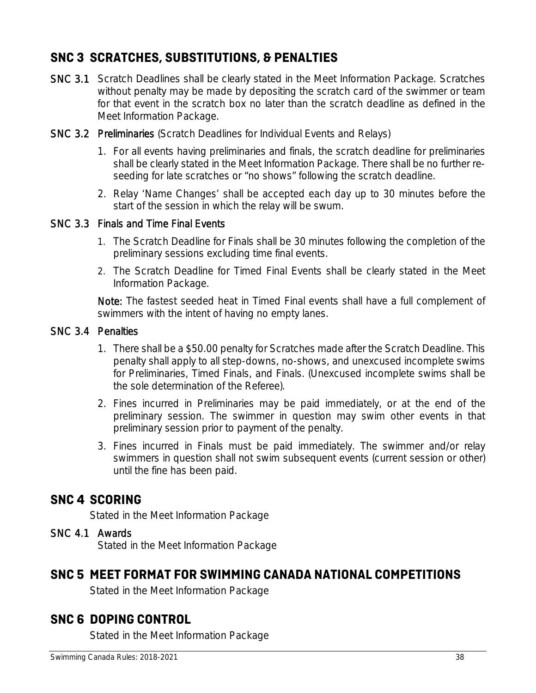### **SNC 3 SCRATCHES, SUBSTITUTIONS, & PENALTIES**

- SNC 3.1 Scratch Deadlines shall be clearly stated in the Meet Information Package. Scratches without penalty may be made by depositing the scratch card of the swimmer or team for that event in the scratch box no later than the scratch deadline as defined in the Meet Information Package.
- SNC 3.2 Preliminaries (Scratch Deadlines for Individual Events and Relays)
	- 1. For all events having preliminaries and finals, the scratch deadline for preliminaries shall be clearly stated in the Meet Information Package. There shall be no further reseeding for late scratches or "no shows" following the scratch deadline.
	- 2. Relay 'Name Changes' shall be accepted each day up to 30 minutes before the start of the session in which the relay will be swum.

#### SNC 3.3 Finals and Time Final Events

- 1. The Scratch Deadline for Finals shall be 30 minutes following the completion of the preliminary sessions excluding time final events.
- 2. The Scratch Deadline for Timed Final Events shall be clearly stated in the Meet Information Package.

Note: The fastest seeded heat in Timed Final events shall have a full complement of swimmers with the intent of having no empty lanes.

#### SNC 3.4 Penalties

- 1. There shall be a \$50.00 penalty for Scratches made after the Scratch Deadline. This penalty shall apply to all step-downs, no-shows, and unexcused incomplete swims for Preliminaries, Timed Finals, and Finals. (Unexcused incomplete swims shall be the sole determination of the Referee).
- 2. Fines incurred in Preliminaries may be paid immediately, or at the end of the preliminary session. The swimmer in question may swim other events in that preliminary session prior to payment of the penalty.
- 3. Fines incurred in Finals must be paid immediately. The swimmer and/or relay swimmers in question shall not swim subsequent events (current session or other) until the fine has been paid.

### **SNC 4 SCORING**

Stated in the Meet Information Package

#### SNC 4.1 Awards

Stated in the Meet Information Package

### **SNC 5 MEET FORMAT FOR SWIMMING CANADA NATIONAL COMPETITIONS**

Stated in the Meet Information Package

### **SNC 6 DOPING CONTROL**

Stated in the Meet Information Package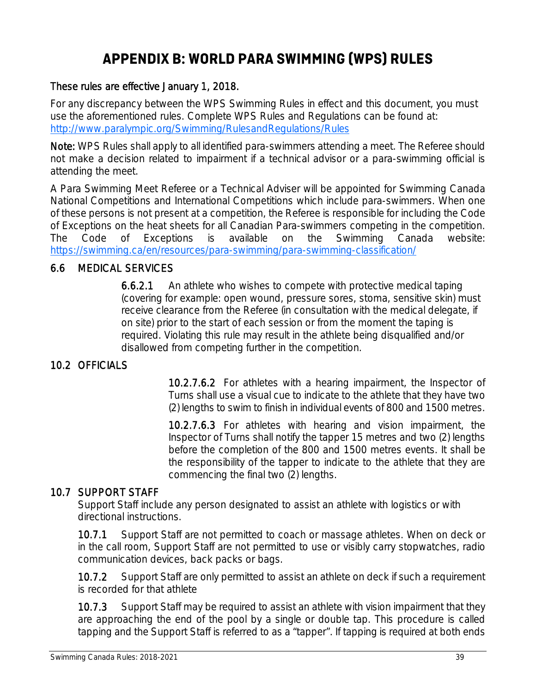## **APPENDIX B: WORLD PARA SWIMMING (WPS) RULES**

#### These rules are effective January 1, 2018.

For any discrepancy between the WPS Swimming Rules in effect and this document, you must use the aforementioned rules. Complete WPS Rules and Regulations can be found at: http://www.paralympic.org/Swimming/RulesandRegulations/Rules

Note: WPS Rules shall apply to all identified para-swimmers attending a meet. The Referee should not make a decision related to impairment if a technical advisor or a para-swimming official is attending the meet.

A Para Swimming Meet Referee or a Technical Adviser will be appointed for Swimming Canada National Competitions and International Competitions which include para-swimmers. When one of these persons is not present at a competition, the Referee is responsible for including the Code of Exceptions on the heat sheets for all Canadian Para-swimmers competing in the competition. The Code of Exceptions is available on the Swimming Canada website: https://swimming.ca/en/resources/para-swimming/para-swimming-classification/

### 6.6 MEDICAL SERVICES

6.6.2.1 An athlete who wishes to compete with protective medical taping (covering for example: open wound, pressure sores, stoma, sensitive skin) must receive clearance from the Referee (in consultation with the medical delegate, if on site) prior to the start of each session or from the moment the taping is required. Violating this rule may result in the athlete being disqualified and/or disallowed from competing further in the competition.

### 10.2 OFFICIALS

10.2.7.6.2 For athletes with a hearing impairment, the Inspector of Turns shall use a visual cue to indicate to the athlete that they have two (2) lengths to swim to finish in individual events of 800 and 1500 metres.

10.2.7.6.3 For athletes with hearing and vision impairment, the Inspector of Turns shall notify the tapper 15 metres and two (2) lengths before the completion of the 800 and 1500 metres events. It shall be the responsibility of the tapper to indicate to the athlete that they are commencing the final two (2) lengths.

### 10.7 SUPPORT STAFF

Support Staff include any person designated to assist an athlete with logistics or with directional instructions.

10.7.1 Support Staff are not permitted to coach or massage athletes. When on deck or in the call room, Support Staff are not permitted to use or visibly carry stopwatches, radio communication devices, back packs or bags.

10.7.2 Support Staff are only permitted to assist an athlete on deck if such a requirement is recorded for that athlete

10.7.3 Support Staff may be required to assist an athlete with vision impairment that they are approaching the end of the pool by a single or double tap. This procedure is called tapping and the Support Staff is referred to as a "tapper". If tapping is required at both ends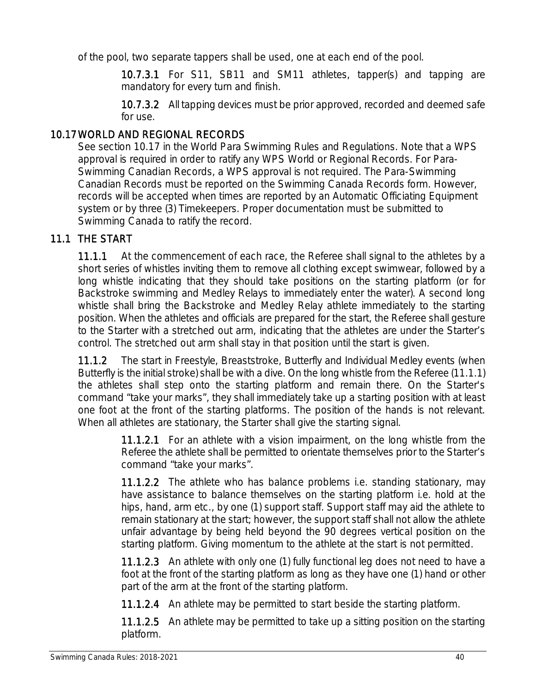of the pool, two separate tappers shall be used, one at each end of the pool.

10.7.3.1 For S11, SB11 and SM11 athletes, tapper(s) and tapping are mandatory for every turn and finish.

10.7.3.2 All tapping devices must be prior approved, recorded and deemed safe for use.

### 10.17 WORLD AND REGIONAL RECORDS

See section 10.17 in the World Para Swimming Rules and Regulations. Note that a WPS approval is required in order to ratify any WPS World or Regional Records. For Para-Swimming Canadian Records, a WPS approval is not required. The Para-Swimming Canadian Records must be reported on the Swimming Canada Records form. However, records will be accepted when times are reported by an Automatic Officiating Equipment system or by three (3) Timekeepers. Proper documentation must be submitted to Swimming Canada to ratify the record.

### 11.1 THE START

11.1.1 At the commencement of each race, the Referee shall signal to the athletes by a short series of whistles inviting them to remove all clothing except swimwear, followed by a long whistle indicating that they should take positions on the starting platform (or for Backstroke swimming and Medley Relays to immediately enter the water). A second long whistle shall bring the Backstroke and Medley Relay athlete immediately to the starting position. When the athletes and officials are prepared for the start, the Referee shall gesture to the Starter with a stretched out arm, indicating that the athletes are under the Starter's control. The stretched out arm shall stay in that position until the start is given.

11.1.2 The start in Freestyle, Breaststroke, Butterfly and Individual Medley events (when Butterfly is the initial stroke) shall be with a dive. On the long whistle from the Referee (11.1.1) the athletes shall step onto the starting platform and remain there. On the Starter's command "take your marks", they shall immediately take up a starting position with at least one foot at the front of the starting platforms. The position of the hands is not relevant. When all athletes are stationary, the Starter shall give the starting signal.

> 11.1.2.1 For an athlete with a vision impairment, on the long whistle from the Referee the athlete shall be permitted to orientate themselves prior to the Starter's command "take your marks".

> 11.1.2.2 The athlete who has balance problems i.e. standing stationary, may have assistance to balance themselves on the starting platform i.e. hold at the hips, hand, arm etc., by one (1) support staff. Support staff may aid the athlete to remain stationary at the start; however, the support staff shall not allow the athlete unfair advantage by being held beyond the 90 degrees vertical position on the starting platform. Giving momentum to the athlete at the start is not permitted.

> 11.1.2.3 An athlete with only one (1) fully functional leg does not need to have a foot at the front of the starting platform as long as they have one (1) hand or other part of the arm at the front of the starting platform.

11.1.2.4 An athlete may be permitted to start beside the starting platform.

11.1.2.5 An athlete may be permitted to take up a sitting position on the starting platform.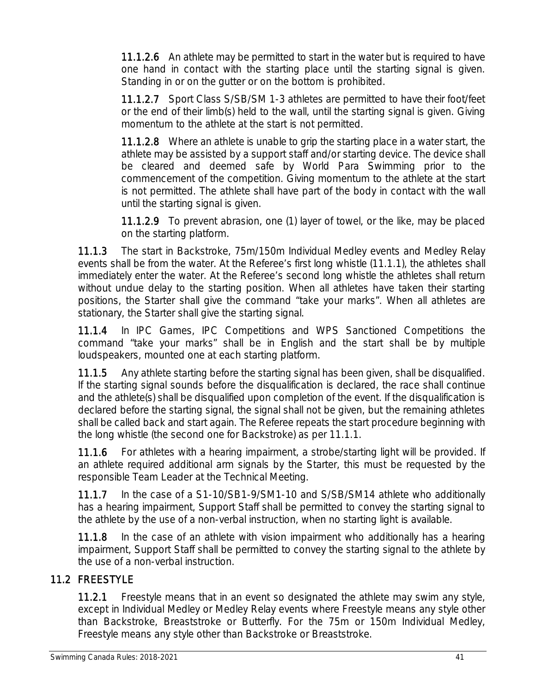11.1.2.6 An athlete may be permitted to start in the water but is required to have one hand in contact with the starting place until the starting signal is given. Standing in or on the gutter or on the bottom is prohibited.

11.1.2.7 Sport Class S/SB/SM 1-3 athletes are permitted to have their foot/feet or the end of their limb(s) held to the wall, until the starting signal is given. Giving momentum to the athlete at the start is not permitted.

11.1.2.8 Where an athlete is unable to grip the starting place in a water start, the athlete may be assisted by a support staff and/or starting device. The device shall be cleared and deemed safe by World Para Swimming prior to the commencement of the competition. Giving momentum to the athlete at the start is not permitted. The athlete shall have part of the body in contact with the wall until the starting signal is given.

11.1.2.9 To prevent abrasion, one (1) layer of towel, or the like, may be placed on the starting platform.

11.1.3 The start in Backstroke, 75m/150m Individual Medley events and Medley Relay events shall be from the water. At the Referee's first long whistle (11.1.1), the athletes shall immediately enter the water. At the Referee's second long whistle the athletes shall return without undue delay to the starting position. When all athletes have taken their starting positions, the Starter shall give the command "take your marks". When all athletes are stationary, the Starter shall give the starting signal.

11.1.4 In IPC Games, IPC Competitions and WPS Sanctioned Competitions the command "take your marks" shall be in English and the start shall be by multiple loudspeakers, mounted one at each starting platform.

11.1.5 Any athlete starting before the starting signal has been given, shall be disqualified. If the starting signal sounds before the disqualification is declared, the race shall continue and the athlete(s) shall be disqualified upon completion of the event. If the disqualification is declared before the starting signal, the signal shall not be given, but the remaining athletes shall be called back and start again. The Referee repeats the start procedure beginning with the long whistle (the second one for Backstroke) as per 11.1.1.

11.1.6 For athletes with a hearing impairment, a strobe/starting light will be provided. If an athlete required additional arm signals by the Starter, this must be requested by the responsible Team Leader at the Technical Meeting.

11.1.7 In the case of a S1-10/SB1-9/SM1-10 and S/SB/SM14 athlete who additionally has a hearing impairment, Support Staff shall be permitted to convey the starting signal to the athlete by the use of a non-verbal instruction, when no starting light is available.

11.1.8 In the case of an athlete with vision impairment who additionally has a hearing impairment, Support Staff shall be permitted to convey the starting signal to the athlete by the use of a non-verbal instruction.

### 11.2 FREESTYLE

11.2.1 Freestyle means that in an event so designated the athlete may swim any style, except in Individual Medley or Medley Relay events where Freestyle means any style other than Backstroke, Breaststroke or Butterfly. For the 75m or 150m Individual Medley, Freestyle means any style other than Backstroke or Breaststroke.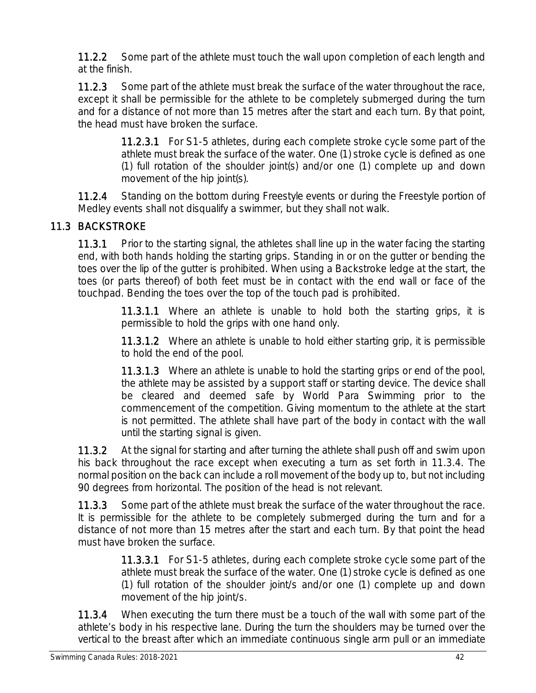11.2.2 Some part of the athlete must touch the wall upon completion of each length and at the finish.

11.2.3 Some part of the athlete must break the surface of the water throughout the race, except it shall be permissible for the athlete to be completely submerged during the turn and for a distance of not more than 15 metres after the start and each turn. By that point, the head must have broken the surface.

> 11.2.3.1 For S1-5 athletes, during each complete stroke cycle some part of the athlete must break the surface of the water. One (1) stroke cycle is defined as one (1) full rotation of the shoulder joint(s) and/or one (1) complete up and down movement of the hip joint(s).

11.2.4 Standing on the bottom during Freestyle events or during the Freestyle portion of Medley events shall not disqualify a swimmer, but they shall not walk.

### 11.3 BACKSTROKE

11.3.1 Prior to the starting signal, the athletes shall line up in the water facing the starting end, with both hands holding the starting grips. Standing in or on the gutter or bending the toes over the lip of the gutter is prohibited. When using a Backstroke ledge at the start, the toes (or parts thereof) of both feet must be in contact with the end wall or face of the touchpad. Bending the toes over the top of the touch pad is prohibited.

> 11.3.1.1 Where an athlete is unable to hold both the starting grips, it is permissible to hold the grips with one hand only.

> 11.3.1.2 Where an athlete is unable to hold either starting grip, it is permissible to hold the end of the pool.

> 11.3.1.3 Where an athlete is unable to hold the starting grips or end of the pool, the athlete may be assisted by a support staff or starting device. The device shall be cleared and deemed safe by World Para Swimming prior to the commencement of the competition. Giving momentum to the athlete at the start is not permitted. The athlete shall have part of the body in contact with the wall until the starting signal is given.

11.3.2 At the signal for starting and after turning the athlete shall push off and swim upon his back throughout the race except when executing a turn as set forth in 11.3.4. The normal position on the back can include a roll movement of the body up to, but not including 90 degrees from horizontal. The position of the head is not relevant.

11.3.3 Some part of the athlete must break the surface of the water throughout the race. It is permissible for the athlete to be completely submerged during the turn and for a distance of not more than 15 metres after the start and each turn. By that point the head must have broken the surface.

> 11.3.3.1 For S1-5 athletes, during each complete stroke cycle some part of the athlete must break the surface of the water. One (1) stroke cycle is defined as one (1) full rotation of the shoulder joint/s and/or one (1) complete up and down movement of the hip joint/s.

11.3.4 When executing the turn there must be a touch of the wall with some part of the athlete's body in his respective lane. During the turn the shoulders may be turned over the vertical to the breast after which an immediate continuous single arm pull or an immediate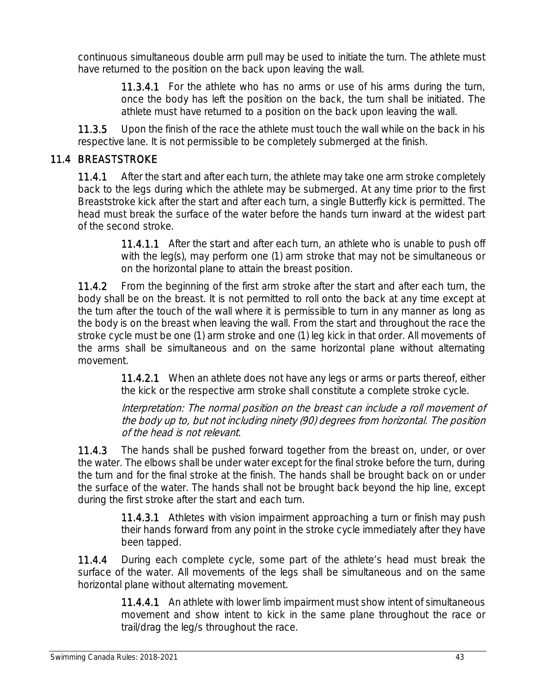continuous simultaneous double arm pull may be used to initiate the turn. The athlete must have returned to the position on the back upon leaving the wall.

> 11.3.4.1 For the athlete who has no arms or use of his arms during the turn, once the body has left the position on the back, the turn shall be initiated. The athlete must have returned to a position on the back upon leaving the wall.

11.3.5 Upon the finish of the race the athlete must touch the wall while on the back in his respective lane. It is not permissible to be completely submerged at the finish.

### 11.4 BREASTSTROKE

11.4.1 After the start and after each turn, the athlete may take one arm stroke completely back to the legs during which the athlete may be submerged. At any time prior to the first Breaststroke kick after the start and after each turn, a single Butterfly kick is permitted. The head must break the surface of the water before the hands turn inward at the widest part of the second stroke.

> 11.4.1.1 After the start and after each turn, an athlete who is unable to push off with the leg(s), may perform one (1) arm stroke that may not be simultaneous or on the horizontal plane to attain the breast position.

11.4.2 From the beginning of the first arm stroke after the start and after each turn, the body shall be on the breast. It is not permitted to roll onto the back at any time except at the turn after the touch of the wall where it is permissible to turn in any manner as long as the body is on the breast when leaving the wall. From the start and throughout the race the stroke cycle must be one (1) arm stroke and one (1) leg kick in that order. All movements of the arms shall be simultaneous and on the same horizontal plane without alternating movement.

> 11.4.2.1 When an athlete does not have any legs or arms or parts thereof, either the kick or the respective arm stroke shall constitute a complete stroke cycle.

> Interpretation: The normal position on the breast can include a roll movement of the body up to, but not including ninety (90) degrees from horizontal. The position of the head is not relevant.

**11.4.3** The hands shall be pushed forward together from the breast on, under, or over the water. The elbows shall be under water except for the final stroke before the turn, during the turn and for the final stroke at the finish. The hands shall be brought back on or under the surface of the water. The hands shall not be brought back beyond the hip line, except during the first stroke after the start and each turn.

> 11.4.3.1 Athletes with vision impairment approaching a turn or finish may push their hands forward from any point in the stroke cycle immediately after they have been tapped.

11.4.4 During each complete cycle, some part of the athlete's head must break the surface of the water. All movements of the legs shall be simultaneous and on the same horizontal plane without alternating movement.

> 11.4.4.1 An athlete with lower limb impairment must show intent of simultaneous movement and show intent to kick in the same plane throughout the race or trail/drag the leg/s throughout the race.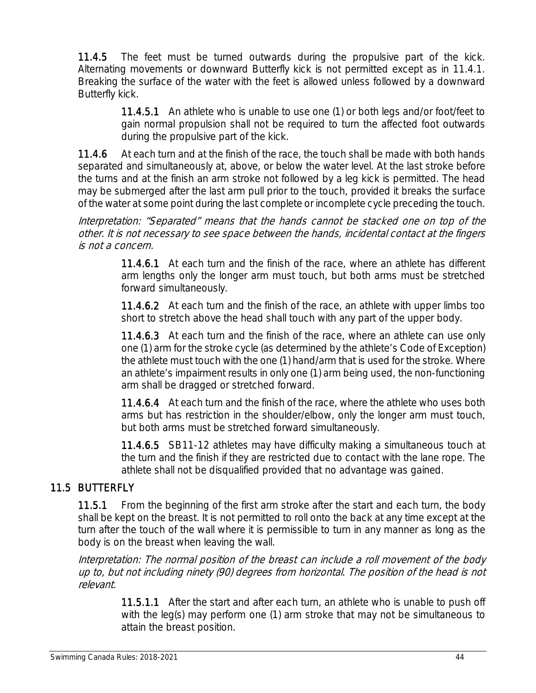11.4.5 The feet must be turned outwards during the propulsive part of the kick. Alternating movements or downward Butterfly kick is not permitted except as in 11.4.1. Breaking the surface of the water with the feet is allowed unless followed by a downward Butterfly kick.

> 11.4.5.1 An athlete who is unable to use one (1) or both legs and/or foot/feet to gain normal propulsion shall not be required to turn the affected foot outwards during the propulsive part of the kick.

11.4.6 At each turn and at the finish of the race, the touch shall be made with both hands separated and simultaneously at, above, or below the water level. At the last stroke before the turns and at the finish an arm stroke not followed by a leg kick is permitted. The head may be submerged after the last arm pull prior to the touch, provided it breaks the surface of the water at some point during the last complete or incomplete cycle preceding the touch.

Interpretation: "Separated" means that the hands cannot be stacked one on top of the other. It is not necessary to see space between the hands, incidental contact at the fingers is not a concern.

> 11.4.6.1 At each turn and the finish of the race, where an athlete has different arm lengths only the longer arm must touch, but both arms must be stretched forward simultaneously.

> 11.4.6.2 At each turn and the finish of the race, an athlete with upper limbs too short to stretch above the head shall touch with any part of the upper body.

> **11.4.6.3** At each turn and the finish of the race, where an athlete can use only one (1) arm for the stroke cycle (as determined by the athlete's Code of Exception) the athlete must touch with the one (1) hand/arm that is used for the stroke. Where an athlete's impairment results in only one (1) arm being used, the non-functioning arm shall be dragged or stretched forward.

> 11.4.6.4 At each turn and the finish of the race, where the athlete who uses both arms but has restriction in the shoulder/elbow, only the longer arm must touch, but both arms must be stretched forward simultaneously.

> 11.4.6.5 SB11-12 athletes may have difficulty making a simultaneous touch at the turn and the finish if they are restricted due to contact with the lane rope. The athlete shall not be disqualified provided that no advantage was gained.

### 11.5 BUTTERFLY

11.5.1 From the beginning of the first arm stroke after the start and each turn, the body shall be kept on the breast. It is not permitted to roll onto the back at any time except at the turn after the touch of the wall where it is permissible to turn in any manner as long as the body is on the breast when leaving the wall.

Interpretation: The normal position of the breast can include a roll movement of the body up to, but not including ninety (90) degrees from horizontal. The position of the head is not relevant.

> 11.5.1.1 After the start and after each turn, an athlete who is unable to push off with the leg(s) may perform one (1) arm stroke that may not be simultaneous to attain the breast position.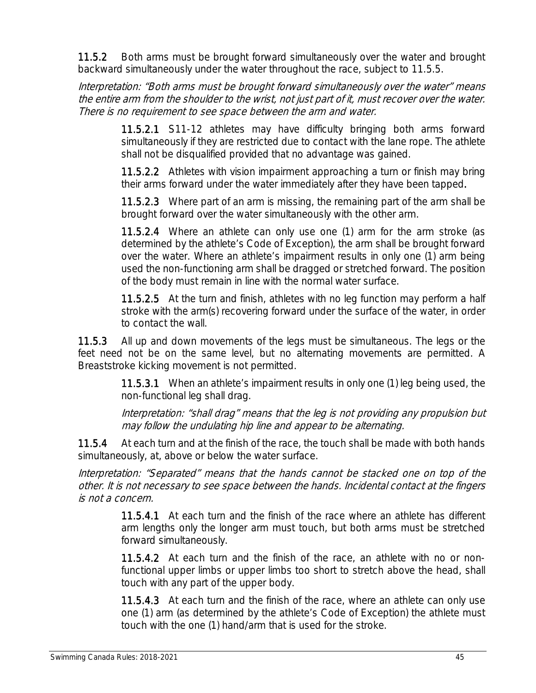11.5.2 Both arms must be brought forward simultaneously over the water and brought backward simultaneously under the water throughout the race, subject to 11.5.5.

Interpretation: "Both arms must be brought forward simultaneously over the water" means the entire arm from the shoulder to the wrist, not just part of it, must recover over the water. There is no requirement to see space between the arm and water.

> 11.5.2.1 S11-12 athletes may have difficulty bringing both arms forward simultaneously if they are restricted due to contact with the lane rope. The athlete shall not be disqualified provided that no advantage was gained.

> 11.5.2.2 Athletes with vision impairment approaching a turn or finish may bring their arms forward under the water immediately after they have been tapped.

> 11.5.2.3 Where part of an arm is missing, the remaining part of the arm shall be brought forward over the water simultaneously with the other arm.

> 11.5.2.4 Where an athlete can only use one (1) arm for the arm stroke (as determined by the athlete's Code of Exception), the arm shall be brought forward over the water. Where an athlete's impairment results in only one (1) arm being used the non-functioning arm shall be dragged or stretched forward. The position of the body must remain in line with the normal water surface.

> 11.5.2.5 At the turn and finish, athletes with no leg function may perform a half stroke with the arm(s) recovering forward under the surface of the water, in order to contact the wall.

11.5.3 All up and down movements of the legs must be simultaneous. The legs or the feet need not be on the same level, but no alternating movements are permitted. A Breaststroke kicking movement is not permitted.

> 11.5.3.1 When an athlete's impairment results in only one (1) leg being used, the non-functional leg shall drag.

> Interpretation: "shall drag" means that the leg is not providing any propulsion but may follow the undulating hip line and appear to be alternating.

11.5.4 At each turn and at the finish of the race, the touch shall be made with both hands simultaneously, at, above or below the water surface.

Interpretation: "Separated" means that the hands cannot be stacked one on top of the other. It is not necessary to see space between the hands. Incidental contact at the fingers is not a concern.

> 11.5.4.1 At each turn and the finish of the race where an athlete has different arm lengths only the longer arm must touch, but both arms must be stretched forward simultaneously.

> 11.5.4.2 At each turn and the finish of the race, an athlete with no or nonfunctional upper limbs or upper limbs too short to stretch above the head, shall touch with any part of the upper body.

> 11.5.4.3 At each turn and the finish of the race, where an athlete can only use one (1) arm (as determined by the athlete's Code of Exception) the athlete must touch with the one (1) hand/arm that is used for the stroke.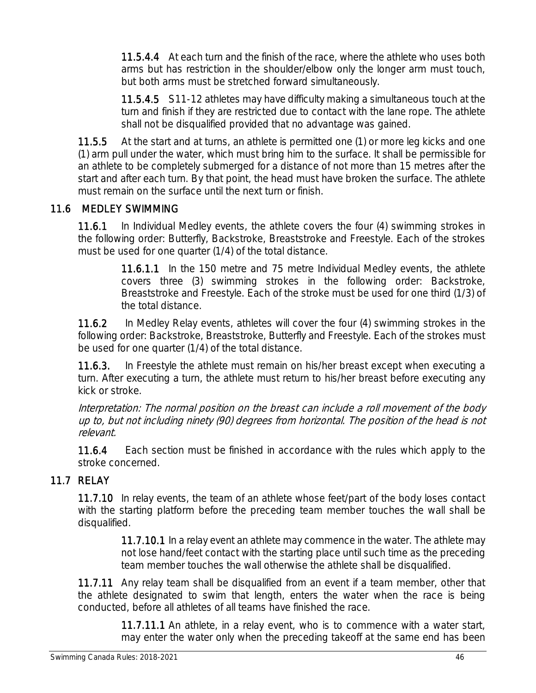11.5.4.4 At each turn and the finish of the race, where the athlete who uses both arms but has restriction in the shoulder/elbow only the longer arm must touch, but both arms must be stretched forward simultaneously.

11.5.4.5 S11-12 athletes may have difficulty making a simultaneous touch at the turn and finish if they are restricted due to contact with the lane rope. The athlete shall not be disqualified provided that no advantage was gained.

11.5.5 At the start and at turns, an athlete is permitted one (1) or more leg kicks and one (1) arm pull under the water, which must bring him to the surface. It shall be permissible for an athlete to be completely submerged for a distance of not more than 15 metres after the start and after each turn. By that point, the head must have broken the surface. The athlete must remain on the surface until the next turn or finish.

### 11.6 MEDLEY SWIMMING

11.6.1 In Individual Medley events, the athlete covers the four (4) swimming strokes in the following order: Butterfly, Backstroke, Breaststroke and Freestyle. Each of the strokes must be used for one quarter (1/4) of the total distance.

> 11.6.1.1 In the 150 metre and 75 metre Individual Medley events, the athlete covers three (3) swimming strokes in the following order: Backstroke, Breaststroke and Freestyle. Each of the stroke must be used for one third (1/3) of the total distance.

11.6.2 In Medley Relay events, athletes will cover the four (4) swimming strokes in the following order: Backstroke, Breaststroke, Butterfly and Freestyle. Each of the strokes must be used for one quarter (1/4) of the total distance.

11.6.3. In Freestyle the athlete must remain on his/her breast except when executing a turn. After executing a turn, the athlete must return to his/her breast before executing any kick or stroke.

Interpretation: The normal position on the breast can include a roll movement of the body up to, but not including ninety (90) degrees from horizontal. The position of the head is not relevant.

11.6.4 Each section must be finished in accordance with the rules which apply to the stroke concerned.

### 11.7 RELAY

11.7.10 In relay events, the team of an athlete whose feet/part of the body loses contact with the starting platform before the preceding team member touches the wall shall be disqualified.

> 11.7.10.1 In a relay event an athlete may commence in the water. The athlete may not lose hand/feet contact with the starting place until such time as the preceding team member touches the wall otherwise the athlete shall be disqualified.

11.7.11 Any relay team shall be disqualified from an event if a team member, other that the athlete designated to swim that length, enters the water when the race is being conducted, before all athletes of all teams have finished the race.

> 11.7.11.1 An athlete, in a relay event, who is to commence with a water start, may enter the water only when the preceding takeoff at the same end has been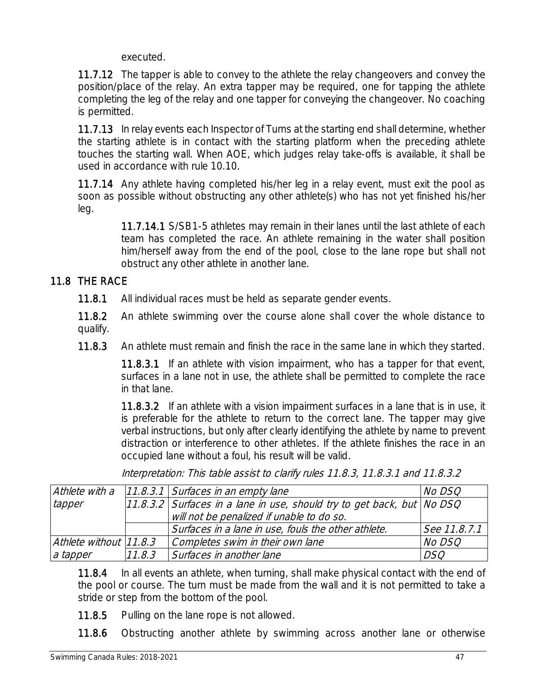executed.

11.7.12 The tapper is able to convey to the athlete the relay changeovers and convey the position/place of the relay. An extra tapper may be required, one for tapping the athlete completing the leg of the relay and one tapper for conveying the changeover. No coaching is permitted.

11.7.13 In relay events each Inspector of Turns at the starting end shall determine, whether the starting athlete is in contact with the starting platform when the preceding athlete touches the starting wall. When AOE, which judges relay take-offs is available, it shall be used in accordance with rule 10.10.

11.7.14 Any athlete having completed his/her leg in a relay event, must exit the pool as soon as possible without obstructing any other athlete(s) who has not yet finished his/her leg.

> 11.7.14.1 S/SB1-5 athletes may remain in their lanes until the last athlete of each team has completed the race. An athlete remaining in the water shall position him/herself away from the end of the pool, close to the lane rope but shall not obstruct any other athlete in another lane.

### 11.8 THE RACE

11.8.1 All individual races must be held as separate gender events.

11.8.2 An athlete swimming over the course alone shall cover the whole distance to qualify.

11.8.3 An athlete must remain and finish the race in the same lane in which they started.

11.8.3.1 If an athlete with vision impairment, who has a tapper for that event, surfaces in a lane not in use, the athlete shall be permitted to complete the race in that lane.

11.8.3.2 If an athlete with a vision impairment surfaces in a lane that is in use, it is preferable for the athlete to return to the correct lane. The tapper may give verbal instructions, but only after clearly identifying the athlete by name to prevent distraction or interference to other athletes. If the athlete finishes the race in an occupied lane without a foul, his result will be valid.

| Athlete with a         |        | $11.8.3.1$ Surfaces in an empty lane                                   | <i>No DSQ</i> |
|------------------------|--------|------------------------------------------------------------------------|---------------|
| tapper                 |        | 11.8.3.2 Surfaces in a lane in use, should try to get back, but No DSQ |               |
|                        |        | will not be penalized if unable to do so.                              |               |
|                        |        | Surfaces in a lane in use, fouls the other athlete.                    | See 11.8.7.1  |
| Athlete without 11.8.3 |        | Completes swim in their own lane                                       | No DSQ        |
| a tapper               | 11.8.3 | Surfaces in another lane                                               | <b>DSQ</b>    |
|                        |        |                                                                        |               |

Interpretation: This table assist to clarify rules 11.8.3, 11.8.3.1 and 11.8.3.2

11.8.4 In all events an athlete, when turning, shall make physical contact with the end of the pool or course. The turn must be made from the wall and it is not permitted to take a stride or step from the bottom of the pool.

11.8.5 Pulling on the lane rope is not allowed.

11.8.6 Obstructing another athlete by swimming across another lane or otherwise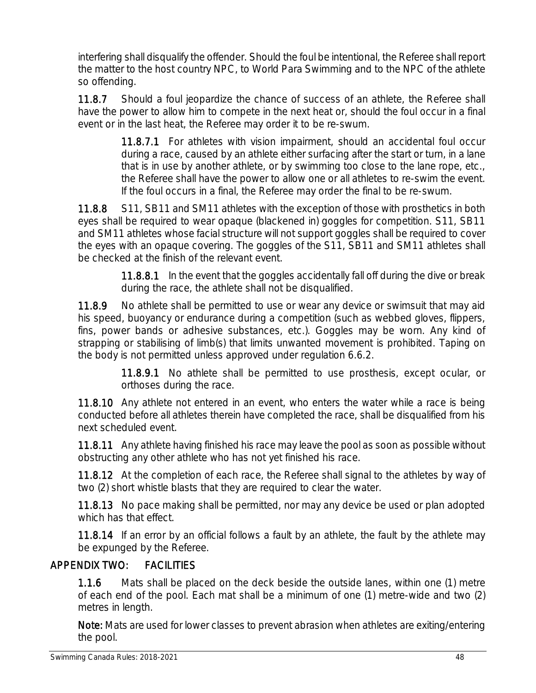interfering shall disqualify the offender. Should the foul be intentional, the Referee shall report the matter to the host country NPC, to World Para Swimming and to the NPC of the athlete so offending.

11.8.7 Should a foul jeopardize the chance of success of an athlete, the Referee shall have the power to allow him to compete in the next heat or, should the foul occur in a final event or in the last heat, the Referee may order it to be re-swum.

> 11.8.7.1 For athletes with vision impairment, should an accidental foul occur during a race, caused by an athlete either surfacing after the start or turn, in a lane that is in use by another athlete, or by swimming too close to the lane rope, etc., the Referee shall have the power to allow one or all athletes to re-swim the event. If the foul occurs in a final, the Referee may order the final to be re-swum.

11.8.8 S11, SB11 and SM11 athletes with the exception of those with prosthetics in both eyes shall be required to wear opaque (blackened in) goggles for competition. S11, SB11 and SM11 athletes whose facial structure will not support goggles shall be required to cover the eyes with an opaque covering. The goggles of the S11, SB11 and SM11 athletes shall be checked at the finish of the relevant event.

> 11.8.8.1 In the event that the goggles accidentally fall off during the dive or break during the race, the athlete shall not be disqualified.

11.8.9 No athlete shall be permitted to use or wear any device or swimsuit that may aid his speed, buoyancy or endurance during a competition (such as webbed gloves, flippers, fins, power bands or adhesive substances, etc.). Goggles may be worn. Any kind of strapping or stabilising of limb(s) that limits unwanted movement is prohibited. Taping on the body is not permitted unless approved under regulation 6.6.2.

> 11.8.9.1 No athlete shall be permitted to use prosthesis, except ocular, or orthoses during the race.

11.8.10 Any athlete not entered in an event, who enters the water while a race is being conducted before all athletes therein have completed the race, shall be disqualified from his next scheduled event.

11.8.11 Any athlete having finished his race may leave the pool as soon as possible without obstructing any other athlete who has not yet finished his race.

11.8.12 At the completion of each race, the Referee shall signal to the athletes by way of two (2) short whistle blasts that they are required to clear the water.

11.8.13 No pace making shall be permitted, nor may any device be used or plan adopted which has that effect.

11.8.14 If an error by an official follows a fault by an athlete, the fault by the athlete may be expunged by the Referee.

### APPENDIX TWO: FACILITIES

1.1.6 Mats shall be placed on the deck beside the outside lanes, within one (1) metre of each end of the pool. Each mat shall be a minimum of one (1) metre-wide and two (2) metres in length.

Note: Mats are used for lower classes to prevent abrasion when athletes are exiting/entering the pool.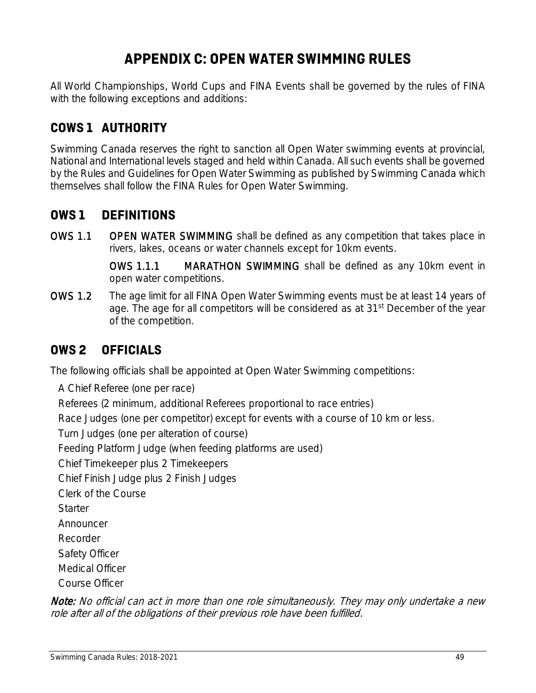## **APPENDIX C: OPEN WATER SWIMMING RULES**

All World Championships, World Cups and FINA Events shall be governed by the rules of FINA with the following exceptions and additions:

### **COWS 1 AUTHORITY**

Swimming Canada reserves the right to sanction all Open Water swimming events at provincial, National and International levels staged and held within Canada. All such events shall be governed by the Rules and Guidelines for Open Water Swimming as published by Swimming Canada which themselves shall follow the FINA Rules for Open Water Swimming.

### **OWS 1 DEFINITIONS**

OWS 1.1 OPEN WATER SWIMMING shall be defined as any competition that takes place in rivers, lakes, oceans or water channels except for 10km events.

> OWS 1.1.1 MARATHON SWIMMING shall be defined as any 10km event in open water competitions.

OWS 1.2 The age limit for all FINA Open Water Swimming events must be at least 14 years of age. The age for all competitors will be considered as at 31<sup>st</sup> December of the year of the competition.

### **OWS 2 OFFICIALS**

The following officials shall be appointed at Open Water Swimming competitions:

A Chief Referee (one per race) Referees (2 minimum, additional Referees proportional to race entries) Race Judges (one per competitor) except for events with a course of 10 km or less. Turn Judges (one per alteration of course) Feeding Platform Judge (when feeding platforms are used) Chief Timekeeper plus 2 Timekeepers Chief Finish Judge plus 2 Finish Judges Clerk of the Course **Starter** Announcer Recorder Safety Officer Medical Officer Course Officer

Note: No official can act in more than one role simultaneously. They may only undertake a new role after all of the obligations of their previous role have been fulfilled.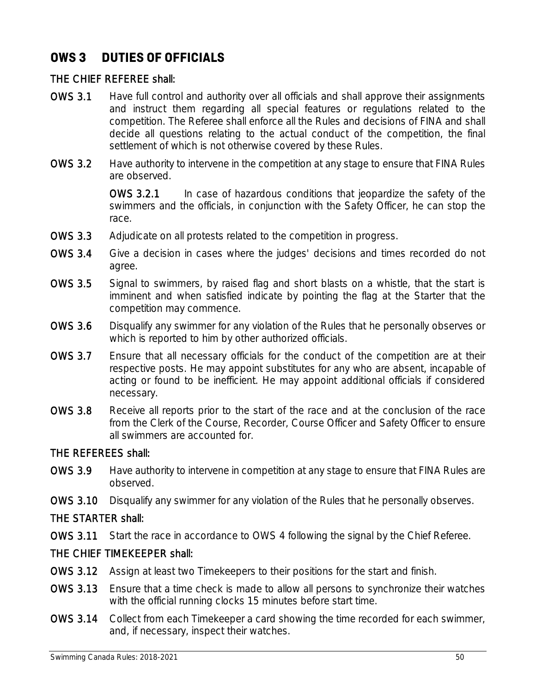### **OWS 3 DUTIES OF OFFICIALS**

#### THE CHIEF REFEREE shall:

- OWS 3.1 Have full control and authority over all officials and shall approve their assignments and instruct them regarding all special features or regulations related to the competition. The Referee shall enforce all the Rules and decisions of FINA and shall decide all questions relating to the actual conduct of the competition, the final settlement of which is not otherwise covered by these Rules.
- OWS 3.2 Have authority to intervene in the competition at any stage to ensure that FINA Rules are observed.

OWS 3.2.1 In case of hazardous conditions that jeopardize the safety of the swimmers and the officials, in conjunction with the Safety Officer, he can stop the race.

- OWS 3.3 Adjudicate on all protests related to the competition in progress.
- OWS 3.4 Give a decision in cases where the judges' decisions and times recorded do not agree.
- OWS 3.5 Signal to swimmers, by raised flag and short blasts on a whistle, that the start is imminent and when satisfied indicate by pointing the flag at the Starter that the competition may commence.
- OWS 3.6 Disqualify any swimmer for any violation of the Rules that he personally observes or which is reported to him by other authorized officials.
- OWS 3.7 Ensure that all necessary officials for the conduct of the competition are at their respective posts. He may appoint substitutes for any who are absent, incapable of acting or found to be inefficient. He may appoint additional officials if considered necessary.
- OWS 3.8 Receive all reports prior to the start of the race and at the conclusion of the race from the Clerk of the Course, Recorder, Course Officer and Safety Officer to ensure all swimmers are accounted for.

#### THE REFEREES shall:

- OWS 3.9 Have authority to intervene in competition at any stage to ensure that FINA Rules are observed.
- OWS 3.10 Disqualify any swimmer for any violation of the Rules that he personally observes.

### THE STARTER shall:

OWS 3.11 Start the race in accordance to OWS 4 following the signal by the Chief Referee.

### THE CHIEF TIMEKEEPER shall:

- OWS 3.12 Assign at least two Timekeepers to their positions for the start and finish.
- OWS 3.13 Ensure that a time check is made to allow all persons to synchronize their watches with the official running clocks 15 minutes before start time.
- OWS 3.14 Collect from each Timekeeper a card showing the time recorded for each swimmer, and, if necessary, inspect their watches.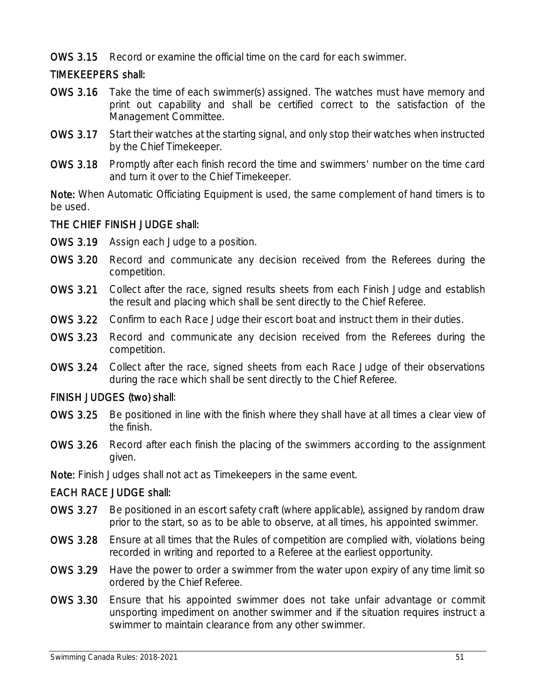OWS 3.15 Record or examine the official time on the card for each swimmer.

### TIMEKEEPERS shall:

- OWS 3.16 Take the time of each swimmer(s) assigned. The watches must have memory and print out capability and shall be certified correct to the satisfaction of the Management Committee.
- OWS 3.17 Start their watches at the starting signal, and only stop their watches when instructed by the Chief Timekeeper.
- OWS 3.18 Promptly after each finish record the time and swimmers' number on the time card and turn it over to the Chief Timekeeper.

Note: When Automatic Officiating Equipment is used, the same complement of hand timers is to be used.

### THE CHIEF FINISH JUDGE shall:

- OWS 3.19 Assign each Judge to a position.
- OWS 3.20 Record and communicate any decision received from the Referees during the competition.
- OWS 3.21 Collect after the race, signed results sheets from each Finish Judge and establish the result and placing which shall be sent directly to the Chief Referee.
- OWS 3.22 Confirm to each Race Judge their escort boat and instruct them in their duties.
- OWS 3.23 Record and communicate any decision received from the Referees during the competition.
- OWS 3.24 Collect after the race, signed sheets from each Race Judge of their observations during the race which shall be sent directly to the Chief Referee.

#### FINISH JUDGES (two) shall:

- OWS 3.25 Be positioned in line with the finish where they shall have at all times a clear view of the finish.
- OWS 3.26 Record after each finish the placing of the swimmers according to the assignment given.
- Note: Finish Judges shall not act as Timekeepers in the same event.

### EACH RACE JUDGE shall:

- OWS 3.27 Be positioned in an escort safety craft (where applicable), assigned by random draw prior to the start, so as to be able to observe, at all times, his appointed swimmer.
- OWS 3.28 Ensure at all times that the Rules of competition are complied with, violations being recorded in writing and reported to a Referee at the earliest opportunity.
- OWS 3.29 Have the power to order a swimmer from the water upon expiry of any time limit so ordered by the Chief Referee.
- OWS 3.30 Ensure that his appointed swimmer does not take unfair advantage or commit unsporting impediment on another swimmer and if the situation requires instruct a swimmer to maintain clearance from any other swimmer.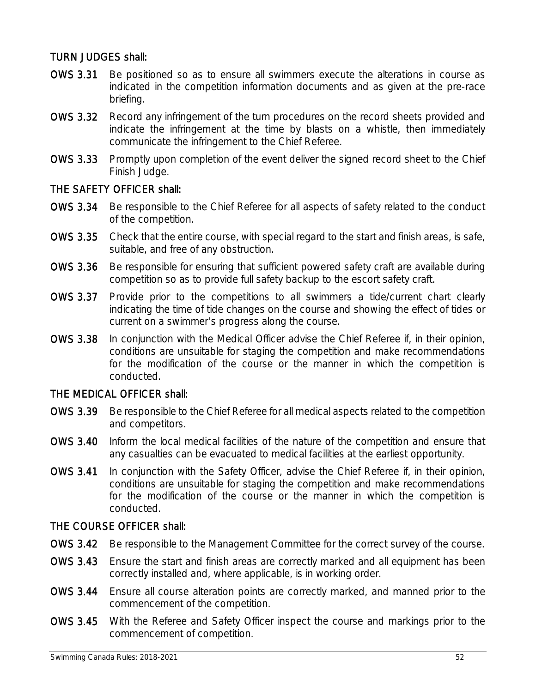#### TURN JUDGES shall:

- OWS 3.31 Be positioned so as to ensure all swimmers execute the alterations in course as indicated in the competition information documents and as given at the pre-race briefing.
- OWS 3.32 Record any infringement of the turn procedures on the record sheets provided and indicate the infringement at the time by blasts on a whistle, then immediately communicate the infringement to the Chief Referee.
- OWS 3.33 Promptly upon completion of the event deliver the signed record sheet to the Chief Finish Judge.

#### THE SAFETY OFFICER shall:

- OWS 3.34 Be responsible to the Chief Referee for all aspects of safety related to the conduct of the competition.
- OWS 3.35 Check that the entire course, with special regard to the start and finish areas, is safe, suitable, and free of any obstruction.
- OWS 3.36 Be responsible for ensuring that sufficient powered safety craft are available during competition so as to provide full safety backup to the escort safety craft.
- OWS 3.37 Provide prior to the competitions to all swimmers a tide/current chart clearly indicating the time of tide changes on the course and showing the effect of tides or current on a swimmer's progress along the course.
- OWS 3.38 In conjunction with the Medical Officer advise the Chief Referee if, in their opinion, conditions are unsuitable for staging the competition and make recommendations for the modification of the course or the manner in which the competition is conducted.

#### THE MEDICAL OFFICER shall:

- OWS 3.39 Be responsible to the Chief Referee for all medical aspects related to the competition and competitors.
- OWS 3.40 Inform the local medical facilities of the nature of the competition and ensure that any casualties can be evacuated to medical facilities at the earliest opportunity.
- OWS 3.41 In conjunction with the Safety Officer, advise the Chief Referee if, in their opinion, conditions are unsuitable for staging the competition and make recommendations for the modification of the course or the manner in which the competition is conducted.

#### THE COURSE OFFICER shall:

- OWS 3.42 Be responsible to the Management Committee for the correct survey of the course.
- OWS 3.43 Ensure the start and finish areas are correctly marked and all equipment has been correctly installed and, where applicable, is in working order.
- OWS 3.44 Ensure all course alteration points are correctly marked, and manned prior to the commencement of the competition.
- OWS 3.45 With the Referee and Safety Officer inspect the course and markings prior to the commencement of competition.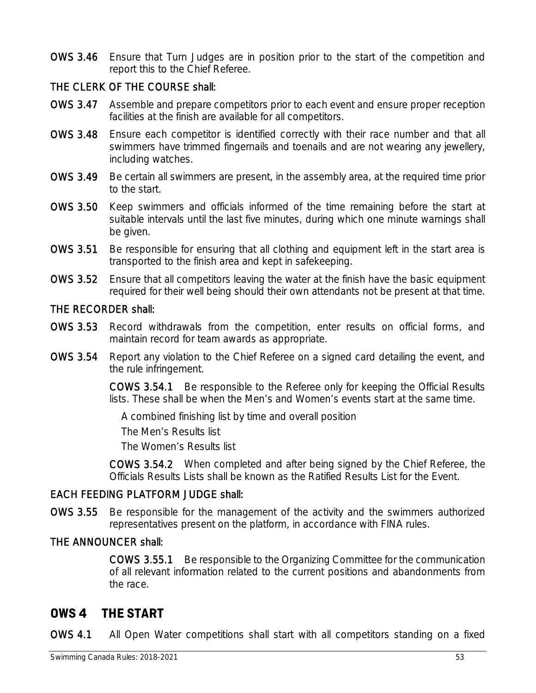OWS 3.46 Ensure that Turn Judges are in position prior to the start of the competition and report this to the Chief Referee.

#### THE CLERK OF THE COURSE shall:

- OWS 3.47 Assemble and prepare competitors prior to each event and ensure proper reception facilities at the finish are available for all competitors.
- OWS 3.48 Ensure each competitor is identified correctly with their race number and that all swimmers have trimmed fingernails and toenails and are not wearing any jewellery, including watches.
- OWS 3.49 Be certain all swimmers are present, in the assembly area, at the required time prior to the start.
- OWS 3.50 Keep swimmers and officials informed of the time remaining before the start at suitable intervals until the last five minutes, during which one minute warnings shall be given.
- OWS 3.51 Be responsible for ensuring that all clothing and equipment left in the start area is transported to the finish area and kept in safekeeping.
- OWS 3.52 Ensure that all competitors leaving the water at the finish have the basic equipment required for their well being should their own attendants not be present at that time.

#### THE RECORDER shall:

- OWS 3.53 Record withdrawals from the competition, enter results on official forms, and maintain record for team awards as appropriate.
- OWS 3.54 Report any violation to the Chief Referee on a signed card detailing the event, and the rule infringement.

COWS 3.54.1 Be responsible to the Referee only for keeping the Official Results lists. These shall be when the Men's and Women's events start at the same time.

A combined finishing list by time and overall position

The Men's Results list

The Women's Results list

COWS 3.54.2 When completed and after being signed by the Chief Referee, the Officials Results Lists shall be known as the Ratified Results List for the Event.

#### EACH FEEDING PLATFORM JUDGE shall:

OWS 3.55 Be responsible for the management of the activity and the swimmers authorized representatives present on the platform, in accordance with FINA rules.

#### THE ANNOUNCER shall:

COWS 3.55.1 Be responsible to the Organizing Committee for the communication of all relevant information related to the current positions and abandonments from the race.

### **OWS 4 THE START**

OWS 4.1 All Open Water competitions shall start with all competitors standing on a fixed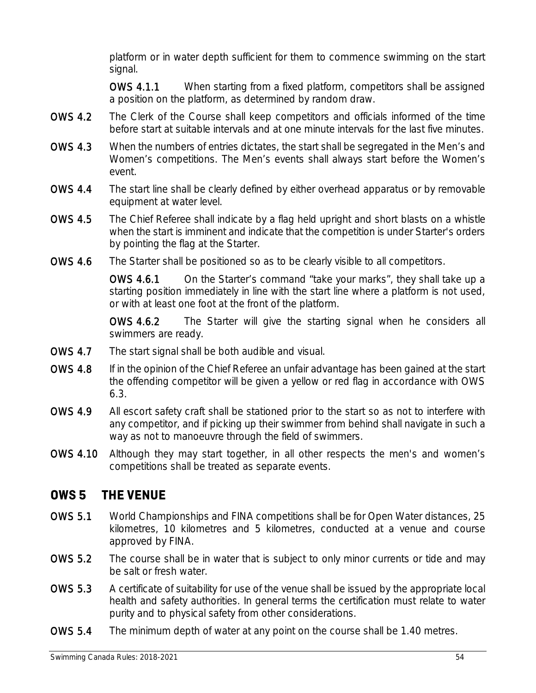platform or in water depth sufficient for them to commence swimming on the start signal.

OWS 4.1.1 When starting from a fixed platform, competitors shall be assigned a position on the platform, as determined by random draw.

- OWS 4.2 The Clerk of the Course shall keep competitors and officials informed of the time before start at suitable intervals and at one minute intervals for the last five minutes.
- OWS 4.3 When the numbers of entries dictates, the start shall be segregated in the Men's and Women's competitions. The Men's events shall always start before the Women's event.
- OWS 4.4 The start line shall be clearly defined by either overhead apparatus or by removable equipment at water level.
- OWS 4.5 The Chief Referee shall indicate by a flag held upright and short blasts on a whistle when the start is imminent and indicate that the competition is under Starter's orders by pointing the flag at the Starter.
- OWS 4.6 The Starter shall be positioned so as to be clearly visible to all competitors.

OWS 4.6.1 On the Starter's command "take your marks", they shall take up a starting position immediately in line with the start line where a platform is not used, or with at least one foot at the front of the platform.

OWS 4.6.2 The Starter will give the starting signal when he considers all swimmers are ready.

- OWS 4.7 The start signal shall be both audible and visual.
- OWS 4.8 If in the opinion of the Chief Referee an unfair advantage has been gained at the start the offending competitor will be given a yellow or red flag in accordance with OWS 6.3.
- OWS 4.9 All escort safety craft shall be stationed prior to the start so as not to interfere with any competitor, and if picking up their swimmer from behind shall navigate in such a way as not to manoeuvre through the field of swimmers.
- OWS 4.10 Although they may start together, in all other respects the men's and women's competitions shall be treated as separate events.

### **OWS 5 THE VENUE**

- OWS 5.1 World Championships and FINA competitions shall be for Open Water distances, 25 kilometres, 10 kilometres and 5 kilometres, conducted at a venue and course approved by FINA.
- OWS 5.2 The course shall be in water that is subject to only minor currents or tide and may be salt or fresh water.
- OWS 5.3 A certificate of suitability for use of the venue shall be issued by the appropriate local health and safety authorities. In general terms the certification must relate to water purity and to physical safety from other considerations.
- OWS 5.4 The minimum depth of water at any point on the course shall be 1.40 metres.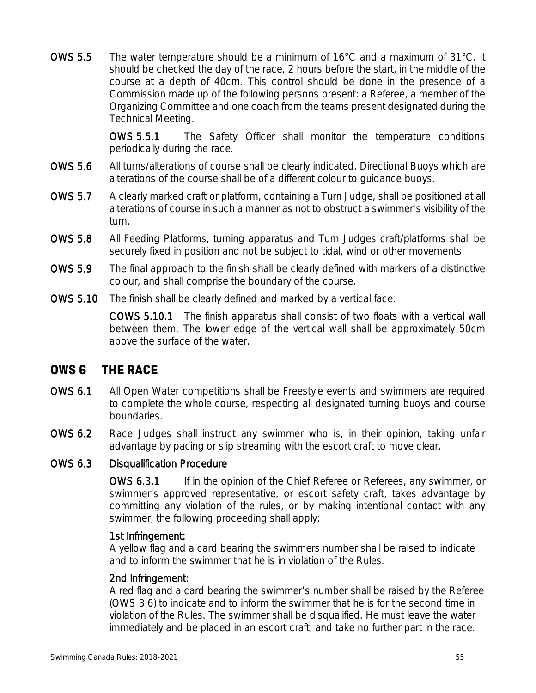OWS 5.5 The water temperature should be a minimum of 16°C and a maximum of 31°C. It should be checked the day of the race, 2 hours before the start, in the middle of the course at a depth of 40cm. This control should be done in the presence of a Commission made up of the following persons present: a Referee, a member of the Organizing Committee and one coach from the teams present designated during the Technical Meeting.

> OWS 5.5.1 The Safety Officer shall monitor the temperature conditions periodically during the race.

- OWS 5.6 All turns/alterations of course shall be clearly indicated. Directional Buoys which are alterations of the course shall be of a different colour to guidance buoys.
- OWS 5.7 A clearly marked craft or platform, containing a Turn Judge, shall be positioned at all alterations of course in such a manner as not to obstruct a swimmer's visibility of the turn.
- OWS 5.8 All Feeding Platforms, turning apparatus and Turn Judges craft/platforms shall be securely fixed in position and not be subject to tidal, wind or other movements.
- OWS 5.9 The final approach to the finish shall be clearly defined with markers of a distinctive colour, and shall comprise the boundary of the course.
- OWS 5.10 The finish shall be clearly defined and marked by a vertical face.

COWS 5.10.1 The finish apparatus shall consist of two floats with a vertical wall between them. The lower edge of the vertical wall shall be approximately 50cm above the surface of the water.

### **OWS 6 THE RACE**

- OWS 6.1 All Open Water competitions shall be Freestyle events and swimmers are required to complete the whole course, respecting all designated turning buoys and course boundaries.
- OWS 6.2 Race Judges shall instruct any swimmer who is, in their opinion, taking unfair advantage by pacing or slip streaming with the escort craft to move clear.

#### OWS 6.3 Disqualification Procedure

OWS 6.3.1 If in the opinion of the Chief Referee or Referees, any swimmer, or swimmer's approved representative, or escort safety craft, takes advantage by committing any violation of the rules, or by making intentional contact with any swimmer, the following proceeding shall apply:

#### 1st Infringement:

A yellow flag and a card bearing the swimmers number shall be raised to indicate and to inform the swimmer that he is in violation of the Rules.

#### 2nd Infringement:

A red flag and a card bearing the swimmer's number shall be raised by the Referee (OWS 3.6) to indicate and to inform the swimmer that he is for the second time in violation of the Rules. The swimmer shall be disqualified. He must leave the water immediately and be placed in an escort craft, and take no further part in the race.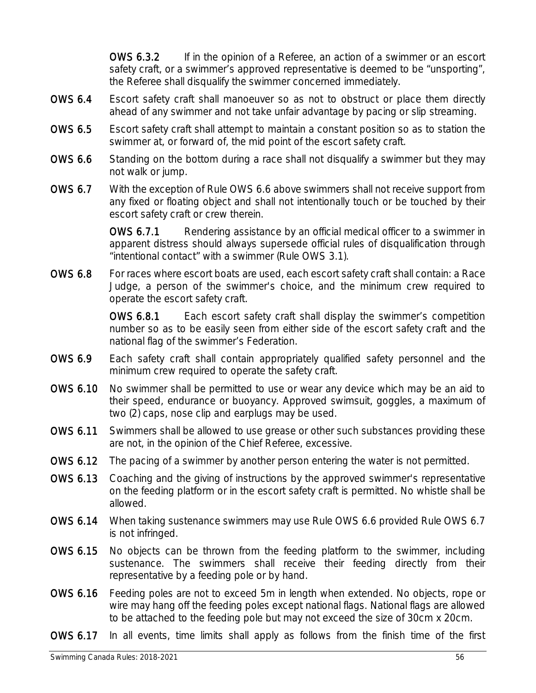OWS 6.3.2 If in the opinion of a Referee, an action of a swimmer or an escort safety craft, or a swimmer's approved representative is deemed to be "unsporting", the Referee shall disqualify the swimmer concerned immediately.

- OWS 6.4 Escort safety craft shall manoeuver so as not to obstruct or place them directly ahead of any swimmer and not take unfair advantage by pacing or slip streaming.
- OWS 6.5 Escort safety craft shall attempt to maintain a constant position so as to station the swimmer at, or forward of, the mid point of the escort safety craft.
- OWS 6.6 Standing on the bottom during a race shall not disqualify a swimmer but they may not walk or jump.
- OWS 6.7 With the exception of Rule OWS 6.6 above swimmers shall not receive support from any fixed or floating object and shall not intentionally touch or be touched by their escort safety craft or crew therein.

OWS 6.7.1 Rendering assistance by an official medical officer to a swimmer in apparent distress should always supersede official rules of disqualification through "intentional contact" with a swimmer (Rule OWS 3.1).

OWS 6.8 For races where escort boats are used, each escort safety craft shall contain: a Race Judge, a person of the swimmer's choice, and the minimum crew required to operate the escort safety craft.

> OWS 6.8.1 Each escort safety craft shall display the swimmer's competition number so as to be easily seen from either side of the escort safety craft and the national flag of the swimmer's Federation.

- OWS 6.9 Each safety craft shall contain appropriately qualified safety personnel and the minimum crew required to operate the safety craft.
- OWS 6.10 No swimmer shall be permitted to use or wear any device which may be an aid to their speed, endurance or buoyancy. Approved swimsuit, goggles, a maximum of two (2) caps, nose clip and earplugs may be used.
- OWS 6.11 Swimmers shall be allowed to use grease or other such substances providing these are not, in the opinion of the Chief Referee, excessive.
- OWS 6.12 The pacing of a swimmer by another person entering the water is not permitted.
- OWS 6.13 Coaching and the giving of instructions by the approved swimmer's representative on the feeding platform or in the escort safety craft is permitted. No whistle shall be allowed.
- OWS 6.14 When taking sustenance swimmers may use Rule OWS 6.6 provided Rule OWS 6.7 is not infringed.
- OWS 6.15 No objects can be thrown from the feeding platform to the swimmer, including sustenance. The swimmers shall receive their feeding directly from their representative by a feeding pole or by hand.
- OWS 6.16 Feeding poles are not to exceed 5m in length when extended. No objects, rope or wire may hang off the feeding poles except national flags. National flags are allowed to be attached to the feeding pole but may not exceed the size of 30cm x 20cm.
- OWS 6.17 In all events, time limits shall apply as follows from the finish time of the first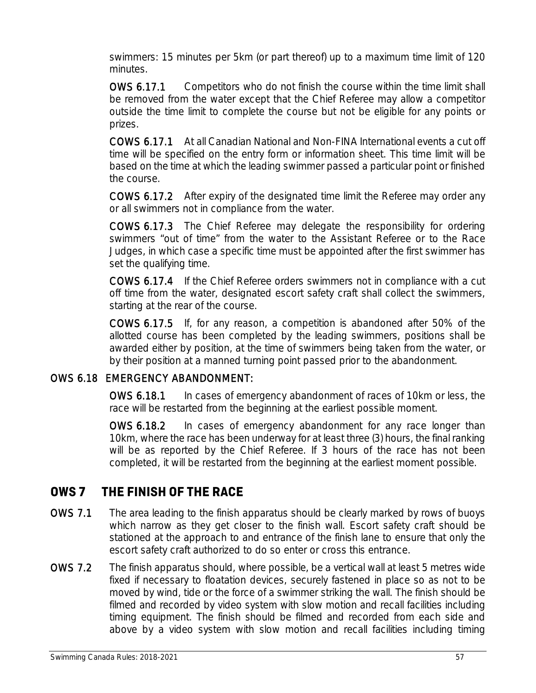swimmers: 15 minutes per 5km (or part thereof) up to a maximum time limit of 120 minutes.

OWS 6.17.1 Competitors who do not finish the course within the time limit shall be removed from the water except that the Chief Referee may allow a competitor outside the time limit to complete the course but not be eligible for any points or prizes.

COWS 6.17.1 At all Canadian National and Non-FINA International events a cut off time will be specified on the entry form or information sheet. This time limit will be based on the time at which the leading swimmer passed a particular point or finished the course.

COWS 6.17.2 After expiry of the designated time limit the Referee may order any or all swimmers not in compliance from the water.

COWS 6.17.3 The Chief Referee may delegate the responsibility for ordering swimmers "out of time" from the water to the Assistant Referee or to the Race Judges, in which case a specific time must be appointed after the first swimmer has set the qualifying time.

COWS 6.17.4 If the Chief Referee orders swimmers not in compliance with a cut off time from the water, designated escort safety craft shall collect the swimmers, starting at the rear of the course.

COWS 6.17.5 If, for any reason, a competition is abandoned after 50% of the allotted course has been completed by the leading swimmers, positions shall be awarded either by position, at the time of swimmers being taken from the water, or by their position at a manned turning point passed prior to the abandonment.

### OWS 6.18 EMERGENCY ABANDONMENT:

OWS 6.18.1 In cases of emergency abandonment of races of 10km or less, the race will be restarted from the beginning at the earliest possible moment.

OWS 6.18.2 In cases of emergency abandonment for any race longer than 10km, where the race has been underway for at least three (3) hours, the final ranking will be as reported by the Chief Referee. If 3 hours of the race has not been completed, it will be restarted from the beginning at the earliest moment possible.

### **OWS 7 THE FINISH OF THE RACE**

- OWS 7.1 The area leading to the finish apparatus should be clearly marked by rows of buoys which narrow as they get closer to the finish wall. Escort safety craft should be stationed at the approach to and entrance of the finish lane to ensure that only the escort safety craft authorized to do so enter or cross this entrance.
- OWS 7.2 The finish apparatus should, where possible, be a vertical wall at least 5 metres wide fixed if necessary to floatation devices, securely fastened in place so as not to be moved by wind, tide or the force of a swimmer striking the wall. The finish should be filmed and recorded by video system with slow motion and recall facilities including timing equipment. The finish should be filmed and recorded from each side and above by a video system with slow motion and recall facilities including timing